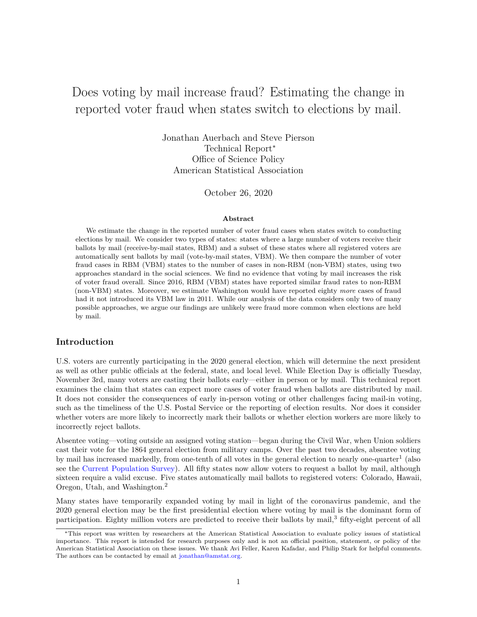# Does voting by mail increase fraud? Estimating the change in reported voter fraud when states switch to elections by mail.

Jonathan Auerbach and Steve Pierson Technical Report<sup>∗</sup> Office of Science Policy American Statistical Association

October 26, 2020

#### **Abstract**

We estimate the change in the reported number of voter fraud cases when states switch to conducting elections by mail. We consider two types of states: states where a large number of voters receive their ballots by mail (receive-by-mail states, RBM) and a subset of these states where all registered voters are automatically sent ballots by mail (vote-by-mail states, VBM). We then compare the number of voter fraud cases in RBM (VBM) states to the number of cases in non-RBM (non-VBM) states, using two approaches standard in the social sciences. We find no evidence that voting by mail increases the risk of voter fraud overall. Since 2016, RBM (VBM) states have reported similar fraud rates to non-RBM (non-VBM) states. Moreover, we estimate Washington would have reported eighty *more* cases of fraud had it not introduced its VBM law in 2011. While our analysis of the data considers only two of many possible approaches, we argue our findings are unlikely were fraud more common when elections are held by mail.

#### **Introduction**

U.S. voters are currently participating in the 2020 general election, which will determine the next president as well as other public officials at the federal, state, and local level. While Election Day is officially Tuesday, November 3rd, many voters are casting their ballots early—either in person or by mail. This technical report examines the claim that states can expect more cases of voter fraud when ballots are distributed by mail. It does not consider the consequences of early in-person voting or other challenges facing mail-in voting, such as the timeliness of the U.S. Postal Service or the reporting of election results. Nor does it consider whether voters are more likely to incorrectly mark their ballots or whether election workers are more likely to incorrectly reject ballots.

Absentee voting—voting outside an assigned voting station—began during the Civil War, when Union soldiers cast their vote for the 1864 general election from military camps. Over the past two decades, absentee voting by mail has increased markedly, from one-tenth of all votes in the general election to nearly one-quarter<sup>1</sup> (also see the [Current Population Survey\)](https://www.census.gov/topics/public-sector/voting.html). All fifty states now allow voters to request a ballot by mail, although sixteen require a valid excuse. Five states automatically mail ballots to registered voters: Colorado, Hawaii, Oregon, Utah, and Washington.<sup>2</sup>

Many states have temporarily expanded voting by mail in light of the coronavirus pandemic, and the 2020 general election may be the first presidential election where voting by mail is the dominant form of participation. Eighty million voters are predicted to receive their ballots by mail,<sup>3</sup> fifty-eight percent of all

<sup>∗</sup>This report was written by researchers at the American Statistical Association to evaluate policy issues of statistical importance. This report is intended for research purposes only and is not an official position, statement, or policy of the American Statistical Association on these issues. We thank Avi Feller, Karen Kafadar, and Philip Stark for helpful comments. The authors can be contacted by email at [jonathan@amstat.org.](mailto:jonathan@amstat.org)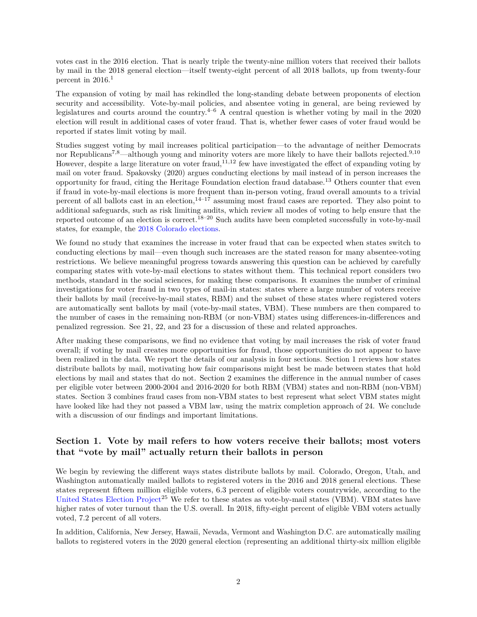votes cast in the 2016 election. That is nearly triple the twenty-nine million voters that received their ballots by mail in the 2018 general election—itself twenty-eight percent of all 2018 ballots, up from twenty-four percent in  $2016.<sup>1</sup>$ 

The expansion of voting by mail has rekindled the long-standing debate between proponents of election security and accessibility. Vote-by-mail policies, and absentee voting in general, are being reviewed by legislatures and courts around the country.<sup>4–6</sup> A central question is whether voting by mail in the  $2020$ election will result in additional cases of voter fraud. That is, whether fewer cases of voter fraud would be reported if states limit voting by mail.

Studies suggest voting by mail increases political participation—to the advantage of neither Democrats nor Republicans<sup>7,8</sup>—although young and minority voters are more likely to have their ballots rejected.<sup>9,10</sup> However, despite a large literature on voter fraud,  $^{11,12}$  few have investigated the effect of expanding voting by mail on voter fraud. Spakovsky (2020) argues conducting elections by mail instead of in person increases the opportunity for fraud, citing the Heritage Foundation election fraud database.<sup>13</sup> Others counter that even if fraud in vote-by-mail elections is more frequent than in-person voting, fraud overall amounts to a trivial percent of all ballots cast in an election, $14^{-17}$  assuming most fraud cases are reported. They also point to additional safeguards, such as risk limiting audits, which review all modes of voting to help ensure that the reported outcome of an election is correct.<sup>18–20</sup> Such audits have been completed successfully in vote-by-mail states, for example, the [2018 Colorado elections.](https://www.sos.state.co.us/pubs/elections/VotingSystems/riskAuditFiles/NotesOnStatistics-2018ColoradoPrimariesElectionAudit.pdf)

We found no study that examines the increase in voter fraud that can be expected when states switch to conducting elections by mail—even though such increases are the stated reason for many absentee-voting restrictions. We believe meaningful progress towards answering this question can be achieved by carefully comparing states with vote-by-mail elections to states without them. This technical report considers two methods, standard in the social sciences, for making these comparisons. It examines the number of criminal investigations for voter fraud in two types of mail-in states: states where a large number of voters receive their ballots by mail (receive-by-mail states, RBM) and the subset of these states where registered voters are automatically sent ballots by mail (vote-by-mail states, VBM). These numbers are then compared to the number of cases in the remaining non-RBM (or non-VBM) states using differences-in-differences and penalized regression. See 21, 22, and 23 for a discussion of these and related approaches.

After making these comparisons, we find no evidence that voting by mail increases the risk of voter fraud overall; if voting by mail creates more opportunities for fraud, those opportunities do not appear to have been realized in the data. We report the details of our analysis in four sections. Section 1 reviews how states distribute ballots by mail, motivating how fair comparisons might best be made between states that hold elections by mail and states that do not. Section 2 examines the difference in the annual number of cases per eligible voter between 2000-2004 and 2016-2020 for both RBM (VBM) states and non-RBM (non-VBM) states. Section 3 combines fraud cases from non-VBM states to best represent what select VBM states might have looked like had they not passed a VBM law, using the matrix completion approach of 24. We conclude with a discussion of our findings and important limitations.

### **Section 1. Vote by mail refers to how voters receive their ballots; most voters that "vote by mail" actually return their ballots in person**

We begin by reviewing the different ways states distribute ballots by mail. Colorado, Oregon, Utah, and Washington automatically mailed ballots to registered voters in the 2016 and 2018 general elections. These states represent fifteen million eligible voters, 6.3 percent of eligible voters countrywide, according to the [United States Election Project](http://www.electproject.org/home/voter-turnout/voter-turnout-data)<sup>25</sup> We refer to these states as vote-by-mail states (VBM). VBM states have higher rates of voter turnout than the U.S. overall. In 2018, fifty-eight percent of eligible VBM voters actually voted, 7.2 percent of all voters.

In addition, California, New Jersey, Hawaii, Nevada, Vermont and Washington D.C. are automatically mailing ballots to registered voters in the 2020 general election (representing an additional thirty-six million eligible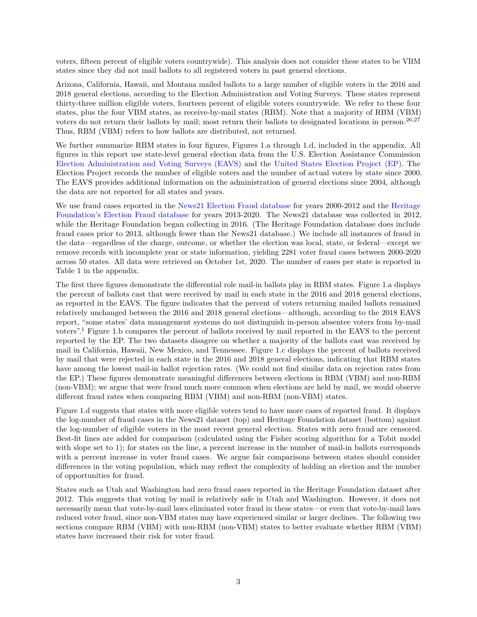voters, fifteen percent of eligible voters countrywide). This analysis does not consider these states to be VBM states since they did not mail ballots to all registered voters in past general elections.

Arizona, California, Hawaii, and Montana mailed ballots to a large number of eligible voters in the 2016 and 2018 general elections, according to the Election Administration and Voting Surveys. These states represent thirty-three million eligible voters, fourteen percent of eligible voters countrywide. We refer to these four states, plus the four VBM states, as receive-by-mail states (RBM). Note that a majority of RBM (VBM) voters do not return their ballots by mail; most return their ballots to designated locations in person.<sup>26,27</sup> Thus, RBM (VBM) refers to how ballots are distributed, not returned.

We further summarize RBM states in four figures, Figures 1.a through 1.d, included in the appendix. All figures in this report use state-level general election data from the U.S. Election Assistance Commission [Election Administration and Voting Surveys \(EAVS\)](https://www.eac.gov/research-and-data/datasets-codebooks-and-surveys) and the [United States Election Project \(EP\).](http://www.electproject.org/home/voter-turnout/voter-turnout-data) The Election Project records the number of eligible voters and the number of actual voters by state since 2000. The EAVS provides additional information on the administration of general elections since 2004, although the data are not reported for all states and years.

We use fraud cases reported in the [News21 Election Fraud database](https://votingrights.news21.com/interactive/election-fraud-database/) for years 2000-2012 and the [Heritage](https://www.heritage.org/voterfraud) [Foundation's Election Fraud database](https://www.heritage.org/voterfraud) for years 2013-2020. The News21 database was collected in 2012, while the Heritage Foundation began collecting in 2016. (The Heritage Foundation database does include fraud cases prior to 2013, although fewer than the News21 database.) We include all instances of fraud in the data—regardless of the charge, outcome, or whether the election was local, state, or federal—except we remove records with incomplete year or state information, yielding 2281 voter fraud cases between 2000-2020 across 50 states. All data were retrieved on October 1st, 2020. The number of cases per state is reported in Table 1 in the appendix.

The first three figures demonstrate the differential role mail-in ballots play in RBM states. Figure 1.a displays the percent of ballots cast that were received by mail in each state in the 2016 and 2018 general elections, as reported in the EAVS. The figure indicates that the percent of voters returning mailed ballots remained relatively unchanged between the 2016 and 2018 general elections—although, according to the 2018 EAVS report, "some states' data management systems do not distinguish in-person absentee voters from by-mail voters".<sup>1</sup> Figure 1.b compares the percent of ballots received by mail reported in the EAVS to the percent reported by the EP. The two datasets disagree on whether a majority of the ballots cast was received by mail in California, Hawaii, New Mexico, and Tennessee. Figure 1.c displays the percent of ballots received by mail that were rejected in each state in the 2016 and 2018 general elections, indicating that RBM states have among the lowest mail-in ballot rejection rates. (We could not find similar data on rejection rates from the EP.) These figures demonstrate meaningful differences between elections in RBM (VBM) and non-RBM (non-VBM); we argue that were fraud much more common when elections are held by mail, we would observe different fraud rates when comparing RBM (VBM) and non-RBM (non-VBM) states.

Figure 1.d suggests that states with more eligible voters tend to have more cases of reported fraud. It displays the log-number of fraud cases in the News21 dataset (top) and Heritage Foundation dataset (bottom) against the log-number of eligible voters in the most recent general election. States with zero fraud are censored. Best-fit lines are added for comparison (calculated using the Fisher scoring algorithm for a Tobit model with slope set to 1); for states on the line, a percent increase in the number of mail-in ballots corresponds with a percent increase in voter fraud cases. We argue fair comparisons between states should consider differences in the voting population, which may reflect the complexity of holding an election and the number of opportunities for fraud.

States such as Utah and Washington had zero fraud cases reported in the Heritage Foundation dataset after 2012. This suggests that voting by mail is relatively safe in Utah and Washington. However, it does not necessarily mean that vote-by-mail laws eliminated voter fraud in these states—or even that vote-by-mail laws reduced voter fraud, since non-VBM states may have experienced similar or larger declines. The following two sections compare RBM (VBM) with non-RBM (non-VBM) states to better evaluate whether RBM (VBM) states have increased their risk for voter fraud.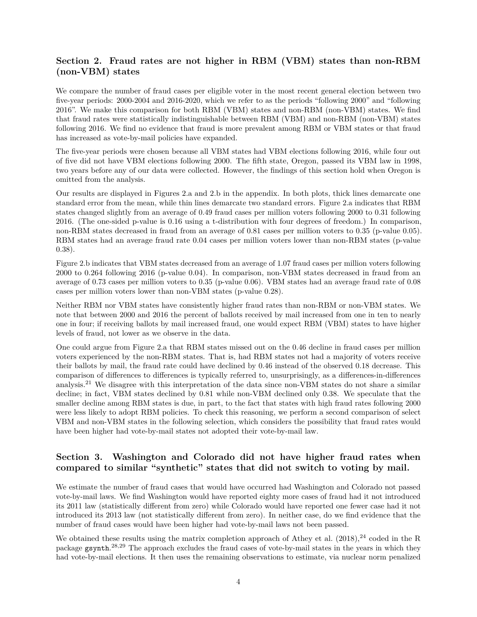### **Section 2. Fraud rates are not higher in RBM (VBM) states than non-RBM (non-VBM) states**

We compare the number of fraud cases per eligible voter in the most recent general election between two five-year periods: 2000-2004 and 2016-2020, which we refer to as the periods "following 2000" and "following 2016". We make this comparison for both RBM (VBM) states and non-RBM (non-VBM) states. We find that fraud rates were statistically indistinguishable between RBM (VBM) and non-RBM (non-VBM) states following 2016. We find no evidence that fraud is more prevalent among RBM or VBM states or that fraud has increased as vote-by-mail policies have expanded.

The five-year periods were chosen because all VBM states had VBM elections following 2016, while four out of five did not have VBM elections following 2000. The fifth state, Oregon, passed its VBM law in 1998, two years before any of our data were collected. However, the findings of this section hold when Oregon is omitted from the analysis.

Our results are displayed in Figures 2.a and 2.b in the appendix. In both plots, thick lines demarcate one standard error from the mean, while thin lines demarcate two standard errors. Figure 2.a indicates that RBM states changed slightly from an average of 0.49 fraud cases per million voters following 2000 to 0.31 following 2016. (The one-sided p-value is 0.16 using a t-distribution with four degrees of freedom.) In comparison, non-RBM states decreased in fraud from an average of 0.81 cases per million voters to 0.35 (p-value 0.05). RBM states had an average fraud rate 0.04 cases per million voters lower than non-RBM states (p-value 0.38).

Figure 2.b indicates that VBM states decreased from an average of 1.07 fraud cases per million voters following 2000 to 0.264 following 2016 (p-value 0.04). In comparison, non-VBM states decreased in fraud from an average of 0.73 cases per million voters to 0.35 (p-value 0.06). VBM states had an average fraud rate of 0.08 cases per million voters lower than non-VBM states (p-value 0.28).

Neither RBM nor VBM states have consistently higher fraud rates than non-RBM or non-VBM states. We note that between 2000 and 2016 the percent of ballots received by mail increased from one in ten to nearly one in four; if receiving ballots by mail increased fraud, one would expect RBM (VBM) states to have higher levels of fraud, not lower as we observe in the data.

One could argue from Figure 2.a that RBM states missed out on the 0.46 decline in fraud cases per million voters experienced by the non-RBM states. That is, had RBM states not had a majority of voters receive their ballots by mail, the fraud rate could have declined by 0.46 instead of the observed 0.18 decrease. This comparison of differences to differences is typically referred to, unsurprisingly, as a differences-in-differences analysis.<sup>21</sup> We disagree with this interpretation of the data since non-VBM states do not share a similar decline; in fact, VBM states declined by 0.81 while non-VBM declined only 0.38. We speculate that the smaller decline among RBM states is due, in part, to the fact that states with high fraud rates following 2000 were less likely to adopt RBM policies. To check this reasoning, we perform a second comparison of select VBM and non-VBM states in the following selection, which considers the possibility that fraud rates would have been higher had vote-by-mail states not adopted their vote-by-mail law.

### **Section 3. Washington and Colorado did not have higher fraud rates when compared to similar "synthetic" states that did not switch to voting by mail.**

We estimate the number of fraud cases that would have occurred had Washington and Colorado not passed vote-by-mail laws. We find Washington would have reported eighty more cases of fraud had it not introduced its 2011 law (statistically different from zero) while Colorado would have reported one fewer case had it not introduced its 2013 law (not statistically different from zero). In neither case, do we find evidence that the number of fraud cases would have been higher had vote-by-mail laws not been passed.

We obtained these results using the matrix completion approach of Athey et al.  $(2018),^{24}$  coded in the R package gsynth. 28,29 The approach excludes the fraud cases of vote-by-mail states in the years in which they had vote-by-mail elections. It then uses the remaining observations to estimate, via nuclear norm penalized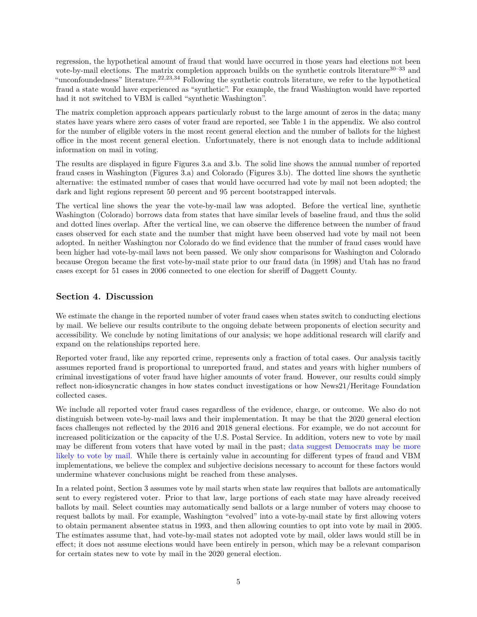regression, the hypothetical amount of fraud that would have occurred in those years had elections not been vote-by-mail elections. The matrix completion approach builds on the synthetic controls literature<sup>30–33</sup> and "unconfoundedness" literature.22,23,34 Following the synthetic controls literature, we refer to the hypothetical fraud a state would have experienced as "synthetic". For example, the fraud Washington would have reported had it not switched to VBM is called "synthetic Washington".

The matrix completion approach appears particularly robust to the large amount of zeros in the data; many states have years where zero cases of voter fraud are reported, see Table 1 in the appendix. We also control for the number of eligible voters in the most recent general election and the number of ballots for the highest office in the most recent general election. Unfortunately, there is not enough data to include additional information on mail in voting.

The results are displayed in figure Figures 3.a and 3.b. The solid line shows the annual number of reported fraud cases in Washington (Figures 3.a) and Colorado (Figures 3.b). The dotted line shows the synthetic alternative: the estimated number of cases that would have occurred had vote by mail not been adopted; the dark and light regions represent 50 percent and 95 percent bootstrapped intervals.

The vertical line shows the year the vote-by-mail law was adopted. Before the vertical line, synthetic Washington (Colorado) borrows data from states that have similar levels of baseline fraud, and thus the solid and dotted lines overlap. After the vertical line, we can observe the difference between the number of fraud cases observed for each state and the number that might have been observed had vote by mail not been adopted. In neither Washington nor Colorado do we find evidence that the number of fraud cases would have been higher had vote-by-mail laws not been passed. We only show comparisons for Washington and Colorado because Oregon became the first vote-by-mail state prior to our fraud data (in 1998) and Utah has no fraud cases except for 51 cases in 2006 connected to one election for sheriff of Daggett County.

#### **Section 4. Discussion**

We estimate the change in the reported number of voter fraud cases when states switch to conducting elections by mail. We believe our results contribute to the ongoing debate between proponents of election security and accessibility. We conclude by noting limitations of our analysis; we hope additional research will clarify and expand on the relationships reported here.

Reported voter fraud, like any reported crime, represents only a fraction of total cases. Our analysis tacitly assumes reported fraud is proportional to unreported fraud, and states and years with higher numbers of criminal investigations of voter fraud have higher amounts of voter fraud. However, our results could simply reflect non-idiosyncratic changes in how states conduct investigations or how News21/Heritage Foundation collected cases.

We include all reported voter fraud cases regardless of the evidence, charge, or outcome. We also do not distinguish between vote-by-mail laws and their implementation. It may be that the 2020 general election faces challenges not reflected by the 2016 and 2018 general elections. For example, we do not account for increased politicization or the capacity of the U.S. Postal Service. In addition, voters new to vote by mail may be different from voters that have voted by mail in the past; [data suggest Democrats may be more](https://thevirginianreview.com/Content/Free-Articles/Free-Articles/Article/Early-Voting-Likely-Favors-Democrats/71/1478/51027) [likely to vote by mail.](https://thevirginianreview.com/Content/Free-Articles/Free-Articles/Article/Early-Voting-Likely-Favors-Democrats/71/1478/51027) While there is certainly value in accounting for different types of fraud and VBM implementations, we believe the complex and subjective decisions necessary to account for these factors would undermine whatever conclusions might be reached from these analyses.

In a related point, Section 3 assumes vote by mail starts when state law requires that ballots are automatically sent to every registered voter. Prior to that law, large portions of each state may have already received ballots by mail. Select counties may automatically send ballots or a large number of voters may choose to request ballots by mail. For example, Washington "evolved" into a vote-by-mail state by first allowing voters to obtain permanent absentee status in 1993, and then allowing counties to opt into vote by mail in 2005. The estimates assume that, had vote-by-mail states not adopted vote by mail, older laws would still be in effect; it does not assume elections would have been entirely in person, which may be a relevant comparison for certain states new to vote by mail in the 2020 general election.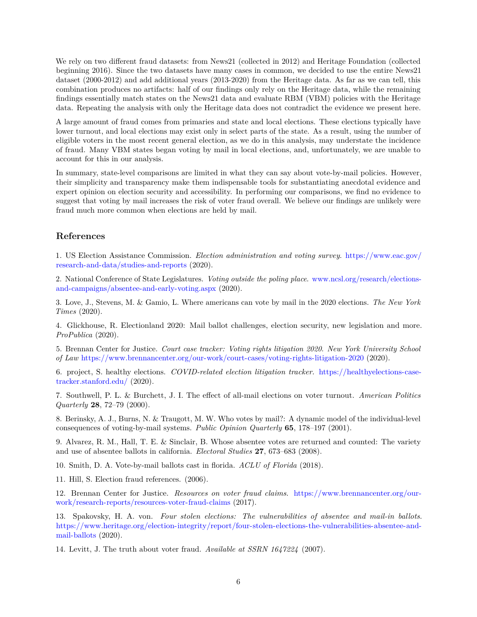We rely on two different fraud datasets: from News21 (collected in 2012) and Heritage Foundation (collected beginning 2016). Since the two datasets have many cases in common, we decided to use the entire News21 dataset (2000-2012) and add additional years (2013-2020) from the Heritage data. As far as we can tell, this combination produces no artifacts: half of our findings only rely on the Heritage data, while the remaining findings essentially match states on the News21 data and evaluate RBM (VBM) policies with the Heritage data. Repeating the analysis with only the Heritage data does not contradict the evidence we present here.

A large amount of fraud comes from primaries and state and local elections. These elections typically have lower turnout, and local elections may exist only in select parts of the state. As a result, using the number of eligible voters in the most recent general election, as we do in this analysis, may understate the incidence of fraud. Many VBM states began voting by mail in local elections, and, unfortunately, we are unable to account for this in our analysis.

In summary, state-level comparisons are limited in what they can say about vote-by-mail policies. However, their simplicity and transparency make them indispensable tools for substantiating anecdotal evidence and expert opinion on election security and accessibility. In performing our comparisons, we find no evidence to suggest that voting by mail increases the risk of voter fraud overall. We believe our findings are unlikely were fraud much more common when elections are held by mail.

#### **References**

1. US Election Assistance Commission. *Election administration and voting survey*. [https://www.eac.gov/](https://www.eac.gov/research-and-data/studies-and-reports) [research-and-data/studies-and-reports](https://www.eac.gov/research-and-data/studies-and-reports) (2020).

2. National Conference of State Legislatures. *Voting outside the poling place*. [www.ncsl.org/research/elections](www.ncsl.org/research/elections-and-campaigns/absentee-and-early-voting.aspx)[and-campaigns/absentee-and-early-voting.aspx](www.ncsl.org/research/elections-and-campaigns/absentee-and-early-voting.aspx) (2020).

3. Love, J., Stevens, M. & Gamio, L. Where americans can vote by mail in the 2020 elections. *The New York Times* (2020).

4. Glickhouse, R. Electionland 2020: Mail ballot challenges, election security, new legislation and more. *ProPublica* (2020).

5. Brennan Center for Justice. *Court case tracker: Voting rights litigation 2020*. *New York University School of Law* <https://www.brennancenter.org/our-work/court-cases/voting-rights-litigation-2020> (2020).

6. project, S. healthy elections. *COVID-related election litigation tracker*. [https://healthyelections-case](https://healthyelections-case-tracker.stanford.edu/)[tracker.stanford.edu/](https://healthyelections-case-tracker.stanford.edu/) (2020).

7. Southwell, P. L. & Burchett, J. I. The effect of all-mail elections on voter turnout. *American Politics Quarterly* **28**, 72–79 (2000).

8. Berinsky, A. J., Burns, N. & Traugott, M. W. Who votes by mail?: A dynamic model of the individual-level consequences of voting-by-mail systems. *Public Opinion Quarterly* **65**, 178–197 (2001).

9. Alvarez, R. M., Hall, T. E. & Sinclair, B. Whose absentee votes are returned and counted: The variety and use of absentee ballots in california. *Electoral Studies* **27**, 673–683 (2008).

10. Smith, D. A. Vote-by-mail ballots cast in florida. *ACLU of Florida* (2018).

11. Hill, S. Election fraud references. (2006).

12. Brennan Center for Justice. *Resources on voter fraud claims*. [https://www.brennancenter.org/our](https://www.brennancenter.org/our-work/research-reports/resources-voter-fraud-claims)[work/research-reports/resources-voter-fraud-claims](https://www.brennancenter.org/our-work/research-reports/resources-voter-fraud-claims) (2017).

13. Spakovsky, H. A. von. *Four stolen elections: The vulnerabilities of absentee and mail-in ballots*. [https://www.heritage.org/election-integrity/report/four-stolen-elections-the-vulnerabilities-absentee-and](https://www.heritage.org/election-integrity/report/four-stolen-elections-the-vulnerabilities-absentee-and-mail-ballots)[mail-ballots](https://www.heritage.org/election-integrity/report/four-stolen-elections-the-vulnerabilities-absentee-and-mail-ballots) (2020).

14. Levitt, J. The truth about voter fraud. *Available at SSRN 1647224* (2007).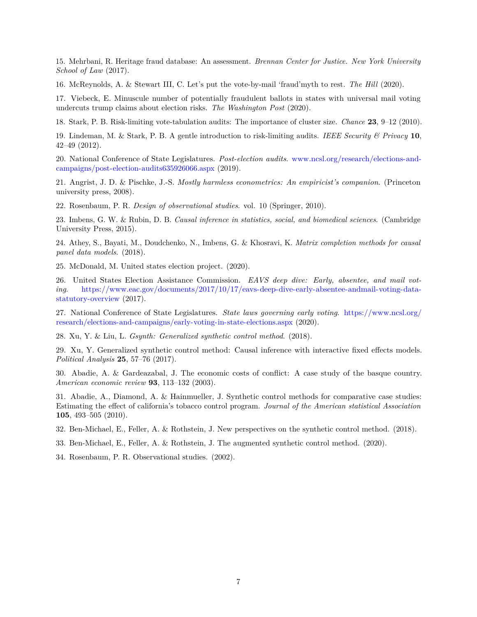15. Mehrbani, R. Heritage fraud database: An assessment. *Brennan Center for Justice. New York University School of Law* (2017).

16. McReynolds, A. & Stewart III, C. Let's put the vote-by-mail 'fraud'myth to rest. *The Hill* (2020).

17. Viebeck, E. Minuscule number of potentially fraudulent ballots in states with universal mail voting undercuts trump claims about election risks. *The Washington Post* (2020).

18. Stark, P. B. Risk-limiting vote-tabulation audits: The importance of cluster size. *Chance* **23**, 9–12 (2010).

19. Lindeman, M. & Stark, P. B. A gentle introduction to risk-limiting audits. *IEEE Security & Privacy* **10**, 42–49 (2012).

20. National Conference of State Legislatures. *Post-election audits*. [www.ncsl.org/research/elections-and](www.ncsl.org/research/elections-and-campaigns/post-election-audits635926066.aspx)[campaigns/post-election-audits635926066.aspx](www.ncsl.org/research/elections-and-campaigns/post-election-audits635926066.aspx) (2019).

21. Angrist, J. D. & Pischke, J.-S. *Mostly harmless econometrics: An empiricist's companion*. (Princeton university press, 2008).

22. Rosenbaum, P. R. *Design of observational studies*. vol. 10 (Springer, 2010).

23. Imbens, G. W. & Rubin, D. B. *Causal inference in statistics, social, and biomedical sciences*. (Cambridge University Press, 2015).

24. Athey, S., Bayati, M., Doudchenko, N., Imbens, G. & Khosravi, K. *Matrix completion methods for causal panel data models*. (2018).

25. McDonald, M. United states election project. (2020).

26. United States Election Assistance Commission. *EAVS deep dive: Early, absentee, and mail voting*. [https://www.eac.gov/documents/2017/10/17/eavs-deep-dive-early-absentee-andmail-voting-data](https://www.eac.gov/documents/2017/10/17/eavs-deep-dive-early-absentee-andmail-voting-data-statutory-overview)[statutory-overview](https://www.eac.gov/documents/2017/10/17/eavs-deep-dive-early-absentee-andmail-voting-data-statutory-overview) (2017).

27. National Conference of State Legislatures. *State laws governing early voting*. [https://www.ncsl.org/](https://www.ncsl.org/research/elections-and-campaigns/early-voting-in-state-elections.aspx) [research/elections-and-campaigns/early-voting-in-state-elections.aspx](https://www.ncsl.org/research/elections-and-campaigns/early-voting-in-state-elections.aspx) (2020).

28. Xu, Y. & Liu, L. *Gsynth: Generalized synthetic control method*. (2018).

29. Xu, Y. Generalized synthetic control method: Causal inference with interactive fixed effects models. *Political Analysis* **25**, 57–76 (2017).

30. Abadie, A. & Gardeazabal, J. The economic costs of conflict: A case study of the basque country. *American economic review* **93**, 113–132 (2003).

31. Abadie, A., Diamond, A. & Hainmueller, J. Synthetic control methods for comparative case studies: Estimating the effect of california's tobacco control program. *Journal of the American statistical Association* **105**, 493–505 (2010).

32. Ben-Michael, E., Feller, A. & Rothstein, J. New perspectives on the synthetic control method. (2018).

33. Ben-Michael, E., Feller, A. & Rothstein, J. The augmented synthetic control method. (2020).

34. Rosenbaum, P. R. Observational studies. (2002).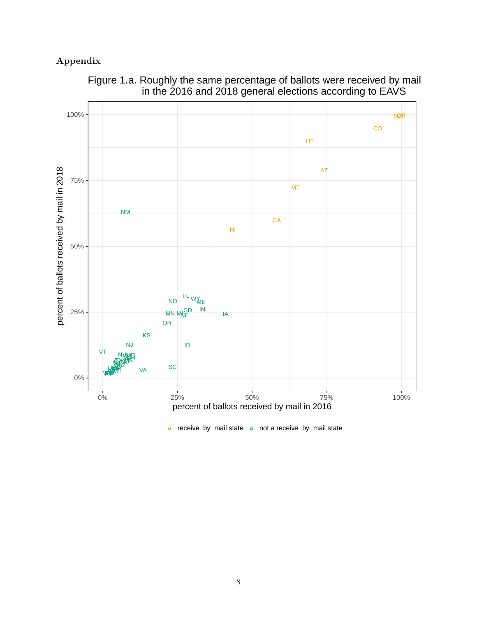# **Appendix**



Figure 1.a. Roughly the same percentage of ballots were received by mail in the 2016 and 2018 general elections according to EAVS

a receive−by−mail state a not a receive−by−mail state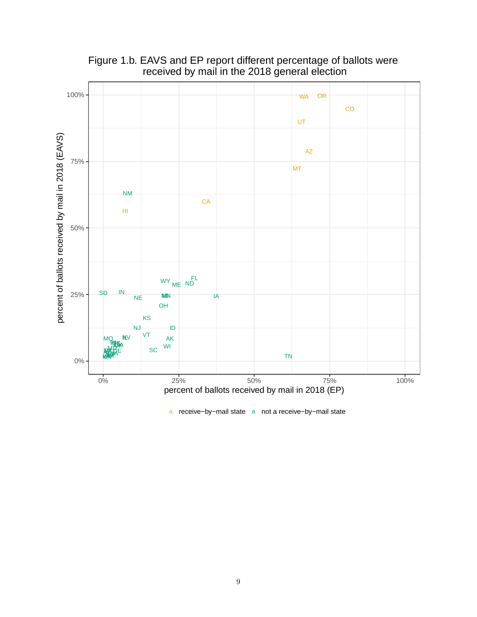

# Figure 1.b. EAVS and EP report different percentage of ballots were received by mail in the 2018 general election

a receive−by−mail state a not a receive−by−mail state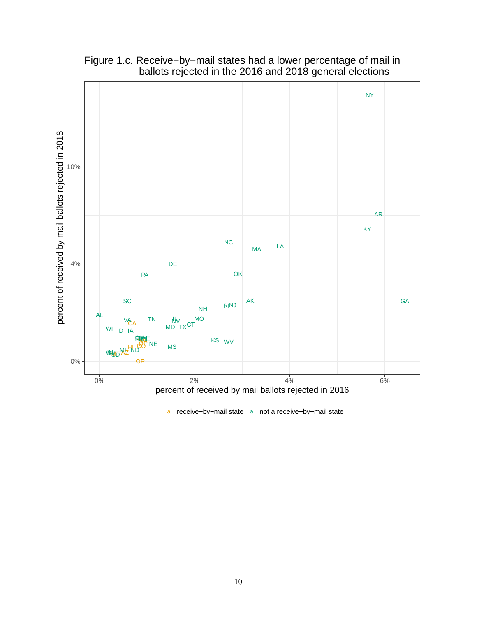

Figure 1.c. Receive−by−mail states had a lower percentage of mail in ballots rejected in the 2016 and 2018 general elections

a receive−by−mail state a not a receive−by−mail state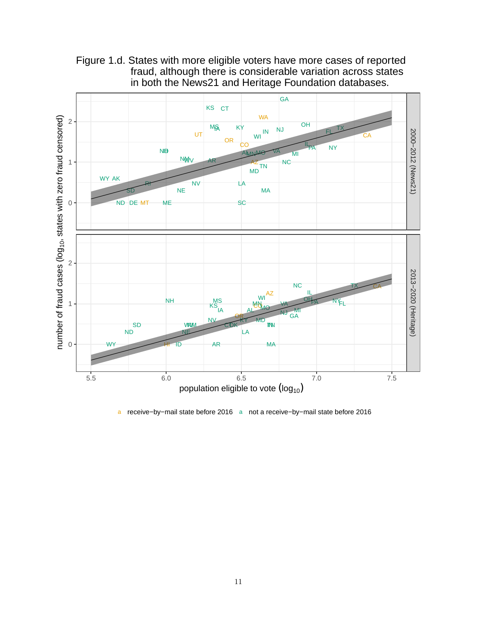

Figure 1.d. States with more eligible voters have more cases of reported fraud, although there is considerable variation across states in both the News21 and Heritage Foundation databases.

a receive−by−mail state before 2016 a not a receive−by−mail state before 2016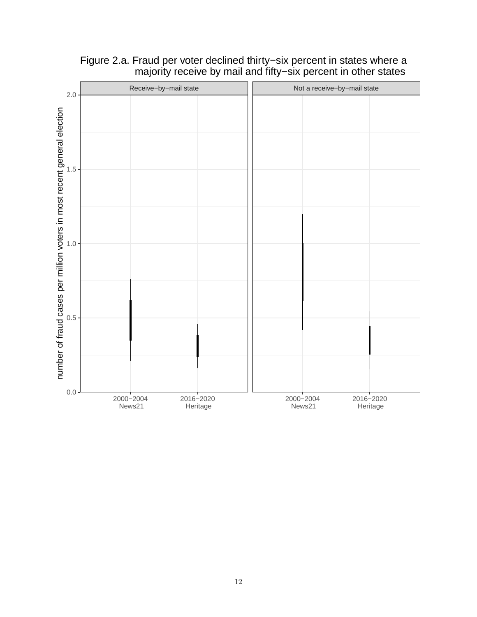

# Figure 2.a. Fraud per voter declined thirty−six percent in states where a majority receive by mail and fifty−six percent in other states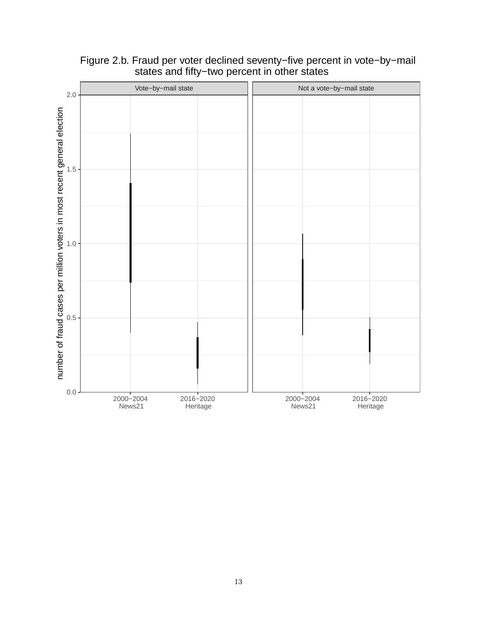

## Figure 2.b. Fraud per voter declined seventy−five percent in vote−by−mail states and fifty−two percent in other states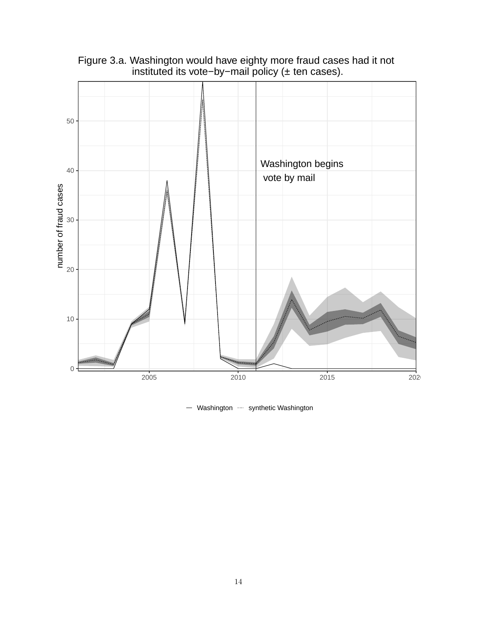

Figure 3.a. Washington would have eighty more fraud cases had it not instituted its vote−by−mail policy (± ten cases).

- Washington  $\cdots$  synthetic Washington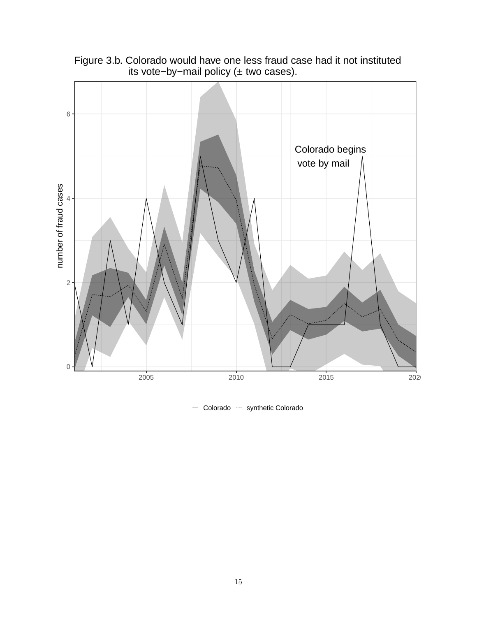

Figure 3.b. Colorado would have one less fraud case had it not instituted its vote−by−mail policy (± two cases).

- Colorado ···· synthetic Colorado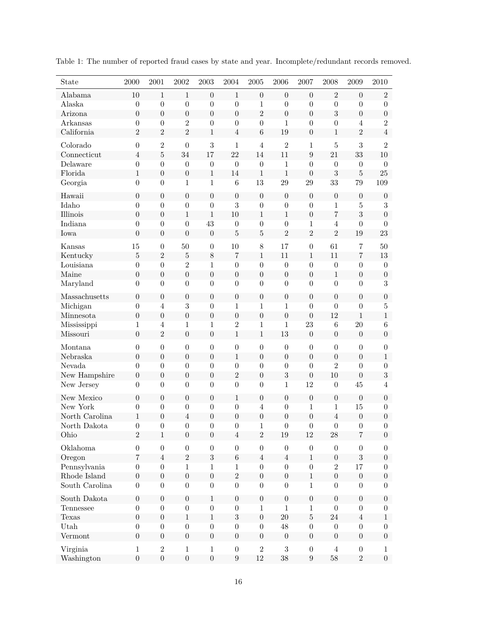| State          | 2000             | 2001             | $\,2002\,$       | $\,2003\,$       | 2004             | 2005             | 2006             | 2007             | 2008             | 2009             | 2010             |
|----------------|------------------|------------------|------------------|------------------|------------------|------------------|------------------|------------------|------------------|------------------|------------------|
| Alabama        | 10               | $\mathbf{1}$     | $1\,$            | $\boldsymbol{0}$ | $1\,$            | $\boldsymbol{0}$ | $\boldsymbol{0}$ | $\boldsymbol{0}$ | $\overline{2}$   | $\boldsymbol{0}$ | $\overline{2}$   |
| Alaska         | $\boldsymbol{0}$ | $\boldsymbol{0}$ | $\boldsymbol{0}$ | $\boldsymbol{0}$ | $\boldsymbol{0}$ | $\mathbf 1$      | $\overline{0}$   | $\overline{0}$   | $\boldsymbol{0}$ | $\boldsymbol{0}$ | $\boldsymbol{0}$ |
| Arizona        | $\boldsymbol{0}$ | $\boldsymbol{0}$ | $\boldsymbol{0}$ | $\boldsymbol{0}$ | $\overline{0}$   | $\overline{2}$   | $\overline{0}$   | $\boldsymbol{0}$ | 3                | $\boldsymbol{0}$ | $\boldsymbol{0}$ |
| Arkansas       | $\boldsymbol{0}$ | $\boldsymbol{0}$ | $\overline{2}$   | $\boldsymbol{0}$ | $\boldsymbol{0}$ | $\boldsymbol{0}$ | $\mathbf{1}$     | $\overline{0}$   | $\boldsymbol{0}$ | $\overline{4}$   | $\overline{2}$   |
| California     | $\overline{2}$   | $\overline{2}$   | $\overline{2}$   | $\mathbf{1}$     | $\overline{4}$   | $\,6$            | 19               | $\boldsymbol{0}$ | $\,1$            | $\overline{2}$   | $\overline{4}$   |
| Colorado       | $\overline{0}$   | $\overline{2}$   | $\overline{0}$   | 3                | $1\,$            | $\overline{4}$   | $\overline{2}$   | $\mathbf{1}$     | $\bf 5$          | $\sqrt{3}$       | $\overline{2}$   |
| Connecticut    | $\overline{4}$   | $\overline{5}$   | 34               | 17               | 22               | 14               | 11               | 9                | 21               | 33               | 10               |
| Delaware       | $\boldsymbol{0}$ | $\boldsymbol{0}$ | $\boldsymbol{0}$ | $\boldsymbol{0}$ | $\boldsymbol{0}$ | $\boldsymbol{0}$ | $\mathbf{1}$     | $\theta$         | $\boldsymbol{0}$ | $\theta$         | $\boldsymbol{0}$ |
| Florida        | $\,1$            | $\boldsymbol{0}$ | $\boldsymbol{0}$ | $1\,$            | 14               | $\mathbf{1}$     | $\mathbf{1}$     | $\overline{0}$   | $\sqrt{3}$       | $\overline{5}$   | 25               |
| Georgia        | $\boldsymbol{0}$ | $\boldsymbol{0}$ | $\mathbf{1}$     | $\mathbf{1}$     | $\boldsymbol{6}$ | 13               | 29               | 29               | 33               | 79               | 109              |
| Hawaii         | $\boldsymbol{0}$ | $\boldsymbol{0}$ | $\boldsymbol{0}$ | $\boldsymbol{0}$ | $\boldsymbol{0}$ | $\overline{0}$   | $\boldsymbol{0}$ | $\boldsymbol{0}$ | $\boldsymbol{0}$ | $\boldsymbol{0}$ | $\boldsymbol{0}$ |
| Idaho          | $\boldsymbol{0}$ | $\boldsymbol{0}$ | $\boldsymbol{0}$ | $\boldsymbol{0}$ | 3                | $\boldsymbol{0}$ | $\boldsymbol{0}$ | $\boldsymbol{0}$ | 1                | $\overline{5}$   | 3                |
| Illinois       | $\boldsymbol{0}$ | $\boldsymbol{0}$ | $1\,$            | 1                | 10               | $\mathbf{1}$     | $\mathbf{1}$     | $\boldsymbol{0}$ | $\overline{7}$   | $\sqrt{3}$       | $\boldsymbol{0}$ |
| Indiana        | $\boldsymbol{0}$ | $\boldsymbol{0}$ | $\boldsymbol{0}$ | 43               | $\boldsymbol{0}$ | $\boldsymbol{0}$ | $\boldsymbol{0}$ | 1                | $\overline{4}$   | $\boldsymbol{0}$ | $\boldsymbol{0}$ |
| Iowa           | $\boldsymbol{0}$ | $\boldsymbol{0}$ | $\boldsymbol{0}$ | $\boldsymbol{0}$ | $\overline{5}$   | $\overline{5}$   | $\overline{2}$   | $\overline{2}$   | $\overline{2}$   | 19               | 23               |
| Kansas         | 15               | $\boldsymbol{0}$ | 50               | $\boldsymbol{0}$ | 10               | 8                | 17               | $\boldsymbol{0}$ | 61               | $\overline{7}$   | 50               |
| Kentucky       | $\bf 5$          | $\overline{2}$   | $\bf 5$          | $\,$ $\,$        | 7                | $\,1\,$          | 11               | $\mathbf{1}$     | 11               | $\overline{7}$   | 13               |
| Louisiana      | $\boldsymbol{0}$ | $\boldsymbol{0}$ | $\overline{2}$   | $\mathbf{1}$     | $\boldsymbol{0}$ | $\boldsymbol{0}$ | $\overline{0}$   | $\theta$         | $\boldsymbol{0}$ | $\boldsymbol{0}$ | $\boldsymbol{0}$ |
| Maine          | $\boldsymbol{0}$ | $\boldsymbol{0}$ | $\overline{0}$   | $\boldsymbol{0}$ | $\boldsymbol{0}$ | $\boldsymbol{0}$ | $\boldsymbol{0}$ | $\boldsymbol{0}$ | $\,1$            | $\boldsymbol{0}$ | $\boldsymbol{0}$ |
| Maryland       | $\boldsymbol{0}$ | $\overline{0}$   | $\overline{0}$   | $\overline{0}$   | $\boldsymbol{0}$ | $\overline{0}$   | $\overline{0}$   | $\overline{0}$   | $\boldsymbol{0}$ | $\boldsymbol{0}$ | 3                |
| Massachusetts  | $\boldsymbol{0}$ | $\boldsymbol{0}$ | $\boldsymbol{0}$ | $\boldsymbol{0}$ | $\boldsymbol{0}$ | $\boldsymbol{0}$ | $\overline{0}$   | $\boldsymbol{0}$ | $\boldsymbol{0}$ | $\boldsymbol{0}$ | $\boldsymbol{0}$ |
| Michigan       | $\boldsymbol{0}$ | $\overline{4}$   | 3                | $\boldsymbol{0}$ | $\mathbf{1}$     | $\mathbf{1}$     | $\mathbf{1}$     | $\overline{0}$   | $\overline{0}$   | $\overline{0}$   | $\bf 5$          |
| Minnesota      | $\boldsymbol{0}$ | $\boldsymbol{0}$ | $\overline{0}$   | $\boldsymbol{0}$ | $\overline{0}$   | $\overline{0}$   | $\overline{0}$   | $\overline{0}$   | 12               | $\mathbf{1}$     | $\mathbf{1}$     |
| Mississippi    | $\mathbf{1}$     | $\overline{4}$   | $\mathbf{1}$     | $\mathbf{1}$     | $\overline{2}$   | $\mathbf{1}$     | $\mathbf{1}$     | 23               | 6                | $20\,$           | 6                |
| Missouri       | $\overline{0}$   | $\overline{2}$   | $\overline{0}$   | $\boldsymbol{0}$ | $\mathbf{1}$     | $\,1\,$          | 13               | $\boldsymbol{0}$ | $\boldsymbol{0}$ | $\boldsymbol{0}$ | $\boldsymbol{0}$ |
| Montana        | $\boldsymbol{0}$ | $\boldsymbol{0}$ | $\boldsymbol{0}$ | $\boldsymbol{0}$ | $\boldsymbol{0}$ | $\boldsymbol{0}$ | $\boldsymbol{0}$ | $\boldsymbol{0}$ | $\boldsymbol{0}$ | $\boldsymbol{0}$ | $\boldsymbol{0}$ |
| Nebraska       | $\boldsymbol{0}$ | $\boldsymbol{0}$ | $\boldsymbol{0}$ | $\boldsymbol{0}$ | $\,1\,$          | $\boldsymbol{0}$ | $\boldsymbol{0}$ | $\boldsymbol{0}$ | $\boldsymbol{0}$ | $\boldsymbol{0}$ | $\,1$            |
| Nevada         | $\boldsymbol{0}$ | $\overline{0}$   | $\overline{0}$   | $\overline{0}$   | $\boldsymbol{0}$ | $\boldsymbol{0}$ | $\boldsymbol{0}$ | $\overline{0}$   | $\overline{2}$   | $\boldsymbol{0}$ | $\overline{0}$   |
| New Hampshire  | $\boldsymbol{0}$ | $\boldsymbol{0}$ | $\boldsymbol{0}$ | $\boldsymbol{0}$ | $\overline{2}$   | $\boldsymbol{0}$ | 3                | $\boldsymbol{0}$ | $10\,$           | $\boldsymbol{0}$ | $\overline{3}$   |
| New Jersey     | $\boldsymbol{0}$ | $\overline{0}$   | $\overline{0}$   | $\overline{0}$   | $\boldsymbol{0}$ | $\overline{0}$   | $\mathbf{1}$     | 12               | $\boldsymbol{0}$ | 45               | $\overline{4}$   |
| New Mexico     | $\boldsymbol{0}$ | $\overline{0}$   | $\overline{0}$   | $\overline{0}$   | $1\,$            | $\boldsymbol{0}$ | $\theta$         | $\boldsymbol{0}$ | $\boldsymbol{0}$ | $\overline{0}$   | $\boldsymbol{0}$ |
| New York       | $\boldsymbol{0}$ | $\boldsymbol{0}$ | $\boldsymbol{0}$ | $\boldsymbol{0}$ | $\boldsymbol{0}$ | $\overline{4}$   | $\boldsymbol{0}$ | $\mathbf{1}$     | $\mathbf{1}$     | 15               | $\boldsymbol{0}$ |
| North Carolina | $\mathbf{1}$     | $\overline{0}$   | $\overline{4}$   | $\overline{0}$   | $\boldsymbol{0}$ | $\boldsymbol{0}$ | $\boldsymbol{0}$ | $\boldsymbol{0}$ | $\overline{4}$   | $\boldsymbol{0}$ | $\boldsymbol{0}$ |
| North Dakota   | $\boldsymbol{0}$ | $\theta$         | $\overline{0}$   | $\theta$         | $\theta$         | 1                | $\theta$         | $\theta$         | $\boldsymbol{0}$ | $\boldsymbol{0}$ | $\boldsymbol{0}$ |
| Ohio           | $\overline{2}$   | $\mathbf{1}$     | $\theta$         | $\overline{0}$   | $\overline{4}$   | $\overline{2}$   | 19               | 12               | 28               | $\,7$            | $\boldsymbol{0}$ |
| Oklahoma       | $\boldsymbol{0}$ | $\boldsymbol{0}$ | $\boldsymbol{0}$ | $\boldsymbol{0}$ | $\boldsymbol{0}$ | $\boldsymbol{0}$ | $\boldsymbol{0}$ | $\boldsymbol{0}$ | $\boldsymbol{0}$ | $\boldsymbol{0}$ | $\boldsymbol{0}$ |
| Oregon         | 7                | $\overline{4}$   | $\sqrt{2}$       | $\sqrt{3}$       | $\,6$            | $\overline{4}$   | $\overline{4}$   | $\mathbf{1}$     | $\boldsymbol{0}$ | 3                | $\boldsymbol{0}$ |
| Pennsylvania   | $\boldsymbol{0}$ | $\overline{0}$   | $\mathbf{1}$     | $\mathbf{1}$     | $\mathbf{1}$     | $\overline{0}$   | $\overline{0}$   | $\overline{0}$   | $\overline{2}$   | 17               | $\boldsymbol{0}$ |
| Rhode Island   | $\boldsymbol{0}$ | $\boldsymbol{0}$ | $\boldsymbol{0}$ | $\boldsymbol{0}$ | $\overline{2}$   | $\boldsymbol{0}$ | $\boldsymbol{0}$ | $\mathbf{1}$     | $\boldsymbol{0}$ | $\boldsymbol{0}$ | $\boldsymbol{0}$ |
| South Carolina | $\boldsymbol{0}$ | $\overline{0}$   | $\overline{0}$   | $\overline{0}$   | $\overline{0}$   | $\boldsymbol{0}$ | $\overline{0}$   | $\mathbf{1}$     | $\boldsymbol{0}$ | $\boldsymbol{0}$ | $\overline{0}$   |
| South Dakota   | $\boldsymbol{0}$ | $\boldsymbol{0}$ | $\boldsymbol{0}$ | $\mathbf{1}$     | $\boldsymbol{0}$ | $\boldsymbol{0}$ | $\boldsymbol{0}$ | $\boldsymbol{0}$ | $\boldsymbol{0}$ | $\boldsymbol{0}$ | $\boldsymbol{0}$ |
| Tennessee      | $\boldsymbol{0}$ | $\boldsymbol{0}$ | $\boldsymbol{0}$ | $\boldsymbol{0}$ | $\boldsymbol{0}$ | $\mathbf{1}$     | $\mathbf{1}$     | $\mathbf{1}$     | $\boldsymbol{0}$ | $\boldsymbol{0}$ | $\boldsymbol{0}$ |
| Texas          | $\boldsymbol{0}$ | $\boldsymbol{0}$ | $\mathbf{1}$     | $\mathbf{1}$     | $\overline{3}$   | $\boldsymbol{0}$ | 20               | $\bf 5$          | 24               | $\overline{4}$   | $\mathbf{1}$     |
| Utah           | $\boldsymbol{0}$ | $\boldsymbol{0}$ | $\boldsymbol{0}$ | $\boldsymbol{0}$ | $\boldsymbol{0}$ | $\boldsymbol{0}$ | 48               | $\boldsymbol{0}$ | $\boldsymbol{0}$ | $\boldsymbol{0}$ | $\boldsymbol{0}$ |
| Vermont        | $\boldsymbol{0}$ | $\boldsymbol{0}$ | $\boldsymbol{0}$ | $\boldsymbol{0}$ | $\boldsymbol{0}$ | $\boldsymbol{0}$ | $\boldsymbol{0}$ | $\boldsymbol{0}$ | $\boldsymbol{0}$ | $\boldsymbol{0}$ | $\boldsymbol{0}$ |
| Virginia       | $\mathbf{1}$     | $\sqrt{2}$       | $\,1\,$          | $\mathbf{1}$     | $\boldsymbol{0}$ | $\overline{2}$   | $\sqrt{3}$       | $\boldsymbol{0}$ | $\overline{4}$   | $\boldsymbol{0}$ | $\mathbf{1}$     |
| Washington     | $\boldsymbol{0}$ | $\boldsymbol{0}$ | $\overline{0}$   | $\boldsymbol{0}$ | $\boldsymbol{9}$ | 12               | 38               | $\boldsymbol{9}$ | 58               | $\overline{2}$   | $\boldsymbol{0}$ |

Table 1: The number of reported fraud cases by state and year. Incomplete/redundant records removed.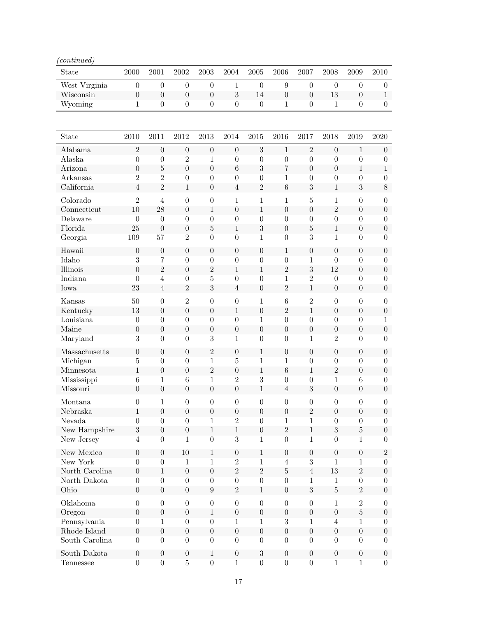| $\Diamond$ continued) |                        |                     |                                    |                  |                                    |                                      |                     |                     |                                      |                                      |                                      |
|-----------------------|------------------------|---------------------|------------------------------------|------------------|------------------------------------|--------------------------------------|---------------------|---------------------|--------------------------------------|--------------------------------------|--------------------------------------|
| State                 | 2000                   | 2001                | 2002                               | $\,2003\,$       | 2004                               | $\,2005\,$                           | 2006                | 2007                | 2008                                 | 2009                                 | 2010                                 |
| West Virginia         | $\boldsymbol{0}$       | $\boldsymbol{0}$    | $\theta$                           | $\boldsymbol{0}$ | $\mathbf{1}$                       | $\boldsymbol{0}$                     | 9                   | $\boldsymbol{0}$    | $\boldsymbol{0}$                     | $\boldsymbol{0}$                     | $\boldsymbol{0}$                     |
| Wisconsin             | $\boldsymbol{0}$       | $\boldsymbol{0}$    | $\boldsymbol{0}$                   | $\boldsymbol{0}$ | 3                                  | 14                                   | $\boldsymbol{0}$    | $\boldsymbol{0}$    | 13                                   | $\boldsymbol{0}$                     | $\mathbf{1}$                         |
| Wyoming               | $\mathbf 1$            | $\boldsymbol{0}$    | $\boldsymbol{0}$                   | $\boldsymbol{0}$ | $\boldsymbol{0}$                   | $\boldsymbol{0}$                     | $\mathbf{1}$        | $\boldsymbol{0}$    | 1                                    | $\boldsymbol{0}$                     | $\boldsymbol{0}$                     |
| State                 | 2010                   | 2011                | 2012                               | 2013             | 2014                               | 2015                                 | 2016                | 2017                | 2018                                 | 2019                                 | 2020                                 |
| Alabama               | $\overline{2}$         | $\boldsymbol{0}$    | $\boldsymbol{0}$                   | $\boldsymbol{0}$ | $\boldsymbol{0}$                   | 3                                    | $\mathbf{1}$        | $\overline{2}$      | $\boldsymbol{0}$                     | $\mathbf{1}$                         | $\boldsymbol{0}$                     |
| Alaska                | $\boldsymbol{0}$       | $\boldsymbol{0}$    | $\overline{2}$                     | 1                | $\boldsymbol{0}$                   | $\boldsymbol{0}$                     | $\boldsymbol{0}$    | $\boldsymbol{0}$    | $\boldsymbol{0}$                     | $\boldsymbol{0}$                     | $\boldsymbol{0}$                     |
| Arizona               | $\boldsymbol{0}$       | $\overline{5}$      | $\boldsymbol{0}$                   | $\boldsymbol{0}$ | $\,6$                              | 3                                    | $\overline{7}$      | $\boldsymbol{0}$    | $\boldsymbol{0}$                     | $\,1$                                | $\,1$                                |
| Arkansas              | $\overline{2}$         | $\overline{2}$      | $\theta$                           | $\boldsymbol{0}$ | $\boldsymbol{0}$                   | $\boldsymbol{0}$                     | 1                   | $\boldsymbol{0}$    | $\boldsymbol{0}$                     | $\boldsymbol{0}$                     | $\boldsymbol{0}$                     |
| California            | 4                      | $\overline{2}$      | $\mathbf{1}$                       | $\boldsymbol{0}$ | $\overline{4}$                     | $\overline{2}$                       | $\boldsymbol{6}$    | $\sqrt{3}$          | $1\,$                                | $\sqrt{3}$                           | 8                                    |
| Colorado              | $\overline{2}$         | $\overline{4}$      | $\boldsymbol{0}$                   | $\boldsymbol{0}$ | $\mathbf{1}$                       | $\mathbf{1}$                         | $\mathbf{1}$        | 5                   | $\mathbf{1}$                         | $\boldsymbol{0}$                     | $\boldsymbol{0}$                     |
| Connecticut           | 10                     | 28                  | $\theta$                           | 1                | $\boldsymbol{0}$                   | $\mathbf{1}$                         | $\overline{0}$      | $\overline{0}$      | $\overline{2}$                       | $\overline{0}$                       | $\boldsymbol{0}$                     |
| Delaware              | $\boldsymbol{0}$       | $\theta$            | $\overline{0}$                     | $\boldsymbol{0}$ | $\boldsymbol{0}$                   | $\boldsymbol{0}$                     | $\theta$            | $\theta$            | $\boldsymbol{0}$                     | $\theta$                             | $\boldsymbol{0}$                     |
| Florida               | 25                     | $\boldsymbol{0}$    | $\overline{0}$                     | $\overline{5}$   | $\mathbf{1}$                       | $\boldsymbol{3}$                     | $\theta$            | 5                   | $1\,$                                | $\boldsymbol{0}$                     | $\boldsymbol{0}$                     |
| Georgia               | 109                    | 57                  | $\overline{2}$                     | $\theta$         | $\boldsymbol{0}$                   | 1                                    | $\theta$            | 3                   | $\mathbf{1}$                         | $\theta$                             | $\overline{0}$                       |
|                       |                        |                     |                                    |                  |                                    |                                      |                     |                     |                                      |                                      |                                      |
| Hawaii                | $\boldsymbol{0}$       | $\boldsymbol{0}$    | $\boldsymbol{0}$                   | $\boldsymbol{0}$ | $\boldsymbol{0}$                   | $\boldsymbol{0}$                     | $\mathbf{1}$        | $\boldsymbol{0}$    | $\boldsymbol{0}$                     | $\boldsymbol{0}$                     | $\boldsymbol{0}$                     |
| Idaho                 | $\boldsymbol{3}$       | 7                   | $\boldsymbol{0}$                   | $\boldsymbol{0}$ | $\boldsymbol{0}$                   | $\boldsymbol{0}$                     | $\theta$            | $\mathbf 1$         | $\boldsymbol{0}$                     | $\boldsymbol{0}$                     | $\boldsymbol{0}$                     |
| Illinois              | $\boldsymbol{0}$       | $\overline{2}$      | $\boldsymbol{0}$                   | $\overline{2}$   | $\mathbf{1}$                       | $\mathbf{1}$                         | $\overline{2}$      | 3<br>$\overline{2}$ | 12                                   | $\boldsymbol{0}$                     | $\boldsymbol{0}$                     |
| Indiana               | $\boldsymbol{0}$<br>23 | 4<br>$\overline{4}$ | $\boldsymbol{0}$<br>$\overline{2}$ | 5<br>$\sqrt{3}$  | $\boldsymbol{0}$<br>$\overline{4}$ | $\boldsymbol{0}$<br>$\boldsymbol{0}$ | 1<br>$\overline{2}$ |                     | $\boldsymbol{0}$<br>$\boldsymbol{0}$ | $\boldsymbol{0}$<br>$\boldsymbol{0}$ | $\boldsymbol{0}$<br>$\boldsymbol{0}$ |
| Iowa                  |                        |                     |                                    |                  |                                    |                                      |                     | $\,1$               |                                      |                                      |                                      |
| Kansas                | 50                     | $\boldsymbol{0}$    | $\overline{2}$                     | $\boldsymbol{0}$ | $\boldsymbol{0}$                   | $\mathbf 1$                          | $\boldsymbol{6}$    | $\overline{2}$      | $\boldsymbol{0}$                     | $\boldsymbol{0}$                     | $\boldsymbol{0}$                     |
| Kentucky              | 13                     | $\boldsymbol{0}$    | $\boldsymbol{0}$                   | $\boldsymbol{0}$ | $\mathbf{1}$                       | $\boldsymbol{0}$                     | $\overline{2}$      | $1\,$               | $\boldsymbol{0}$                     | $\boldsymbol{0}$                     | $\boldsymbol{0}$                     |
| Louisiana             | $\boldsymbol{0}$       | $\boldsymbol{0}$    | $\boldsymbol{0}$                   | $\boldsymbol{0}$ | $\boldsymbol{0}$                   | $\mathbf 1$                          | $\overline{0}$      | $\theta$            | $\boldsymbol{0}$                     | $\boldsymbol{0}$                     | $\mathbf 1$                          |
| Maine                 | $\boldsymbol{0}$       | $\boldsymbol{0}$    | $\boldsymbol{0}$                   | $\boldsymbol{0}$ | $\boldsymbol{0}$                   | $\boldsymbol{0}$                     | $\boldsymbol{0}$    | $\boldsymbol{0}$    | $\boldsymbol{0}$                     | $\boldsymbol{0}$                     | $\boldsymbol{0}$                     |
| Maryland              | $\overline{3}$         | $\boldsymbol{0}$    | $\overline{0}$                     | 3                | $\mathbf{1}$                       | $\overline{0}$                       | $\overline{0}$      | $\mathbf{1}$        | $\overline{2}$                       | $\overline{0}$                       | $\overline{0}$                       |
| Massachusetts         | $\boldsymbol{0}$       | $\boldsymbol{0}$    | $\overline{0}$                     | $\overline{2}$   | $\boldsymbol{0}$                   | $\mathbf{1}$                         | $\boldsymbol{0}$    | $\boldsymbol{0}$    | $\boldsymbol{0}$                     | $\boldsymbol{0}$                     | $\boldsymbol{0}$                     |
| Michigan              | $\overline{5}$         | $\boldsymbol{0}$    | $\boldsymbol{0}$                   | $\mathbf 1$      | $\overline{5}$                     | 1                                    | $\mathbf{1}$        | $\boldsymbol{0}$    | $\boldsymbol{0}$                     | $\boldsymbol{0}$                     | $\boldsymbol{0}$                     |
| Minnesota             | $\mathbf 1$            | $\boldsymbol{0}$    | $\boldsymbol{0}$                   | $\overline{2}$   | $\boldsymbol{0}$                   | $\mathbf{1}$                         | $\boldsymbol{6}$    | $\mathbf{1}$        | $\overline{2}$                       | $\boldsymbol{0}$                     | $\boldsymbol{0}$                     |
| Mississippi           | 6                      | 1                   | 6                                  | 1                | $\overline{2}$                     | 3                                    | $\boldsymbol{0}$    | $\boldsymbol{0}$    | 1                                    | 6                                    | $\boldsymbol{0}$                     |
| Missouri              | $\overline{0}$         | $\boldsymbol{0}$    | $\boldsymbol{0}$                   | $\boldsymbol{0}$ | $\overline{0}$                     | $\mathbf{1}$                         | $\overline{4}$      | 3                   | $\overline{0}$                       | $\boldsymbol{0}$                     | $\boldsymbol{0}$                     |
| Montana               | $\overline{0}$         |                     | $\theta$                           | $\overline{0}$   | $\overline{0}$                     | $\overline{0}$                       | $\theta$            | $\theta$            | $\overline{0}$                       | $\theta$                             | $\overline{0}$                       |
| Nebraska              | 1                      | $\boldsymbol{0}$    | $\boldsymbol{0}$                   | $\boldsymbol{0}$ | $\boldsymbol{0}$                   | $\boldsymbol{0}$                     | $\boldsymbol{0}$    | $\overline{2}$      | $\boldsymbol{0}$                     | $\boldsymbol{0}$                     | $\boldsymbol{0}$                     |
| Nevada                | $\overline{0}$         | $\theta$            | $\overline{0}$                     | $\mathbf{1}$     | $\overline{2}$                     | $\theta$                             | 1                   | $\mathbf{1}$        | $\boldsymbol{0}$                     | $\boldsymbol{0}$                     | $\boldsymbol{0}$                     |
| New Hampshire         | $\sqrt{3}$             | $\boldsymbol{0}$    | $\boldsymbol{0}$                   | $\mathbf{1}$     | $1\,$                              | $\boldsymbol{0}$                     | $\overline{2}$      | $\mathbf{1}$        | $\sqrt{3}$                           | $\overline{5}$                       | $\boldsymbol{0}$                     |
| New Jersey            | $\overline{4}$         | $\boldsymbol{0}$    | $\mathbf{1}$                       | $\boldsymbol{0}$ | $\boldsymbol{3}$                   | $\mathbf{1}$                         | $\boldsymbol{0}$    | $\mathbf{1}$        | $\boldsymbol{0}$                     | 1                                    | $\boldsymbol{0}$                     |
| New Mexico            | $\boldsymbol{0}$       | $\boldsymbol{0}$    | $10\,$                             | 1                | $\theta$                           | 1                                    | $\boldsymbol{0}$    | $\boldsymbol{0}$    | $\boldsymbol{0}$                     | $\boldsymbol{0}$                     | $\overline{2}$                       |
| New York              | $\boldsymbol{0}$       | $\boldsymbol{0}$    | 1                                  | 1                | $\overline{2}$                     | 1                                    | $\overline{4}$      | 3                   | $\mathbf{1}$                         | 1                                    | $\boldsymbol{0}$                     |
| North Carolina        | $\boldsymbol{0}$       | $\mathbf 1$         | $\boldsymbol{0}$                   | $\boldsymbol{0}$ | $\overline{2}$                     | $\overline{2}$                       | $\bf 5$             | $\overline{4}$      | 13                                   | $\overline{2}$                       | $\boldsymbol{0}$                     |
| North Dakota          | $\boldsymbol{0}$       | $\boldsymbol{0}$    | $\boldsymbol{0}$                   | $\boldsymbol{0}$ | $\boldsymbol{0}$                   | $\boldsymbol{0}$                     | $\boldsymbol{0}$    | $\mathbf{1}$        | $\mathbf{1}$                         | $\boldsymbol{0}$                     | $\boldsymbol{0}$                     |
| Ohio                  | $\boldsymbol{0}$       | $\boldsymbol{0}$    | $\boldsymbol{0}$                   | $\boldsymbol{9}$ | $\overline{2}$                     | $\mathbf{1}$                         | $\boldsymbol{0}$    | $\sqrt{3}$          | $\overline{5}$                       | $\sqrt{2}$                           | $\boldsymbol{0}$                     |
| Oklahoma              | $\boldsymbol{0}$       | $\boldsymbol{0}$    | $\boldsymbol{0}$                   | $\boldsymbol{0}$ | $\boldsymbol{0}$                   | $\boldsymbol{0}$                     | $\boldsymbol{0}$    | $\boldsymbol{0}$    | $1\,$                                | $\overline{2}$                       | $\boldsymbol{0}$                     |
| Oregon                | $\boldsymbol{0}$       | $\boldsymbol{0}$    | $\boldsymbol{0}$                   | $\mathbf{1}$     | $\boldsymbol{0}$                   | $\boldsymbol{0}$                     | $\boldsymbol{0}$    | $\boldsymbol{0}$    | $\boldsymbol{0}$                     | $\bf 5$                              | $\boldsymbol{0}$                     |
| Pennsylvania          | $\boldsymbol{0}$       | 1                   | $\boldsymbol{0}$                   | $\boldsymbol{0}$ | $\mathbf{1}$                       | $\mathbf{1}$                         | $\boldsymbol{3}$    | $\mathbf{1}$        | $\overline{4}$                       | $\mathbf{1}$                         | $\boldsymbol{0}$                     |
| Rhode Island          | $\boldsymbol{0}$       | $\boldsymbol{0}$    | $\boldsymbol{0}$                   | $\boldsymbol{0}$ | $\boldsymbol{0}$                   | $\boldsymbol{0}$                     | $\boldsymbol{0}$    | $\boldsymbol{0}$    | $\boldsymbol{0}$                     | $\boldsymbol{0}$                     | $\boldsymbol{0}$                     |
| South Carolina        | $\boldsymbol{0}$       | $\boldsymbol{0}$    | $\boldsymbol{0}$                   | $\boldsymbol{0}$ | $\boldsymbol{0}$                   | $\boldsymbol{0}$                     | $\boldsymbol{0}$    | $\overline{0}$      | $\boldsymbol{0}$                     | $\boldsymbol{0}$                     | $\overline{0}$                       |
| South Dakota          | $\boldsymbol{0}$       | $\boldsymbol{0}$    | $\boldsymbol{0}$                   | $\mathbf{1}$     | $\boldsymbol{0}$                   | $\sqrt{3}$                           | $\boldsymbol{0}$    | $\boldsymbol{0}$    | $\boldsymbol{0}$                     | $\boldsymbol{0}$                     | $\boldsymbol{0}$                     |
| Tennessee             | $\boldsymbol{0}$       | $\boldsymbol{0}$    | $\bf 5$                            | $\boldsymbol{0}$ | $\mathbf{1}$                       | $\boldsymbol{0}$                     | $\boldsymbol{0}$    | $\boldsymbol{0}$    | $\mathbf{1}$                         | $\mathbf{1}$                         | $\boldsymbol{0}$                     |
|                       |                        |                     |                                    |                  |                                    |                                      |                     |                     |                                      |                                      |                                      |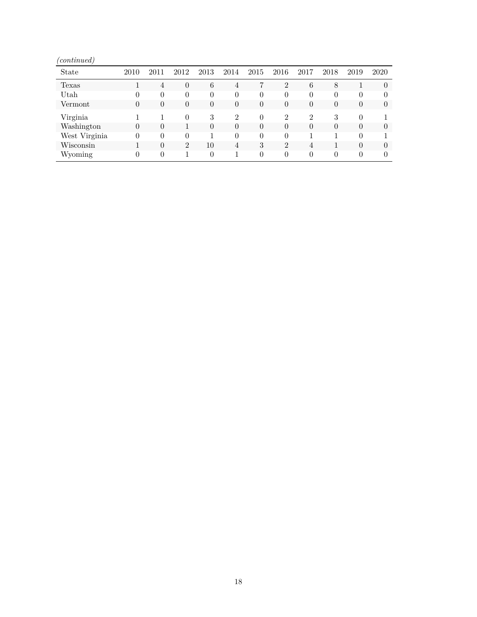| $\omega$ <i>noonowow</i><br><b>State</b> | 2010     | 2011     | 2012           | 2013     | 2014           | 2015     | 2016           | 2017           | 2018     | 2019     | 2020     |
|------------------------------------------|----------|----------|----------------|----------|----------------|----------|----------------|----------------|----------|----------|----------|
|                                          |          |          |                |          |                |          |                |                |          |          |          |
| Texas                                    |          | 4        | $\overline{0}$ | 6        | $\overline{4}$ | 7        | $\overline{2}$ | 6              | 8        |          |          |
| Utah                                     | 0        | 0        | 0              | 0        | $\theta$       | 0        |                | $\theta$       |          | 0        |          |
| Vermont                                  | $\theta$ | $\theta$ | $\overline{0}$ | $\theta$ | $\theta$       | $\theta$ | $\Omega$       | $\theta$       | $\Omega$ | $\theta$ | $\theta$ |
| Virginia                                 |          |          | $\Omega$       | 3        | $\mathfrak{D}$ | 0        | $\mathfrak{D}$ | $\mathfrak{D}$ | 3        | 0        |          |
| Washington                               | $\theta$ | $\theta$ |                | $\theta$ | $\theta$       | $\theta$ |                | $\theta$       | $\Omega$ | $\theta$ | $\Omega$ |
| West Virginia                            | 0        | ∩        |                |          | $\theta$       | $\Omega$ |                |                |          | $\Omega$ |          |
| Wisconsin                                |          | $\theta$ | $\overline{2}$ | 10       | 4              | 3        | $\overline{2}$ | $\overline{4}$ |          | $\Omega$ |          |
| Wyoming                                  | $^{(1)}$ | ∩        |                | $\theta$ |                | $\Omega$ |                | $\theta$       |          | $\Omega$ |          |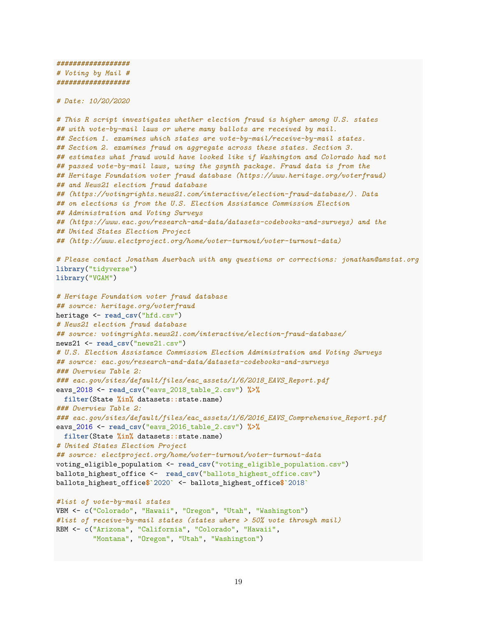```
##################
# Voting by Mail #
##################
```
*# Date: 10/20/2020*

```
# This R script investigates whether election fraud is higher among U.S. states
## with vote-by-mail laws or where many ballots are received by mail.
## Section 1. examines which states are vote-by-mail/receive-by-mail states.
## Section 2. examines fraud on aggregate across these states. Section 3.
## estimates what fraud would have looked like if Washington and Colorado had not
## passed vote-by-mail laws, using the gsynth package. Fraud data is from the
## Heritage Foundation voter fraud database (https://www.heritage.org/voterfraud)
## and News21 election fraud database
## (https://votingrights.news21.com/interactive/election-fraud-database/). Data
## on elections is from the U.S. Election Assistance Commission Election
## Administration and Voting Surveys
## (https://www.eac.gov/research-and-data/datasets-codebooks-and-surveys) and the
## United States Election Project
## (http://www.electproject.org/home/voter-turnout/voter-turnout-data)
# Please contact Jonathan Auerbach with any questions or corrections: jonathan@amstat.org
library("tidyverse")
library("VGAM")
# Heritage Foundation voter fraud database
## source: heritage.org/voterfraud
heritage <- read_csv("hfd.csv")
# News21 election fraud database
## source: votingrights.news21.com/interactive/election-fraud-database/
news21 <- read_csv("news21.csv")
# U.S. Election Assistance Commission Election Administration and Voting Surveys
## source: eac.gov/research-and-data/datasets-codebooks-and-surveys
### Overview Table 2:
### eac.gov/sites/default/files/eac_assets/1/6/2018_EAVS_Report.pdf
eavs_2018 <- read_csv("eavs_2018_table_2.csv") %>%
  filter(State %in% datasets::state.name)
### Overview Table 2:
### eac.gov/sites/default/files/eac_assets/1/6/2016_EAVS_Comprehensive_Report.pdf
eavs_2016 <- read_csv("eavs_2016_table_2.csv") %>%
 filter(State %in% datasets::state.name)
# United States Election Project
## source: electproject.org/home/voter-turnout/voter-turnout-data
voting_eligible_population <- read_csv("voting_eligible_population.csv")
ballots_highest_office <- read_csv("ballots_highest_office.csv")
ballots_highest_office$`2020` <- ballots_highest_office$`2018`
#list of vote-by-mail states
VBM <- c("Colorado", "Hawaii", "Oregon", "Utah", "Washington")
#list of receive-by-mail states (states where > 50% vote through mail)
RBM <- c("Arizona", "California", "Colorado", "Hawaii",
         "Montana", "Oregon", "Utah", "Washington")
```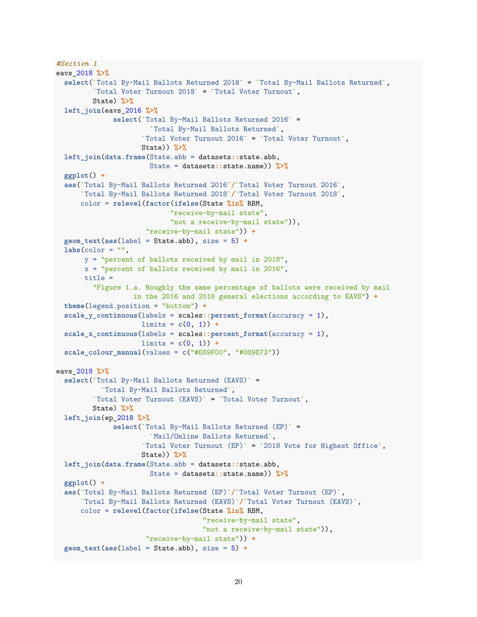```
#Section 1
eavs_2018 %>%
  select(`Total By-Mail Ballots Returned 2018` = `Total By-Mail Ballots Returned`,
         `Total Voter Turnout 2018` = `Total Voter Turnout`,
         State) %>%
 left_join(eavs_2016 %>%
              select(`Total By-Mail Ballots Returned 2016` =
                       `Total By-Mail Ballots Returned`,
                     `Total Voter Turnout 2016` = `Total Voter Turnout`,
                     State)) %>%
 left_join(data.frame(State.abb = datasets::state.abb,
                       State = datasets::state.name)) %>%
 ggplot() +
  aes(`Total By-Mail Ballots Returned 2016`/`Total Voter Turnout 2016`,
      `Total By-Mail Ballots Returned 2018`/`Total Voter Turnout 2018`,
      color = relevel(factor(ifelse(State %in% RBM,
                            "receive-by-mail state",
                            "not a receive-by-mail state")),
                      "receive-by-mail state")) +
  geom_text(aes(label = State.abb), size = 5) +
  \text{labs}(\text{color} = "",y = "percent of ballots received by mail in 2018",
       x = "percent of ballots received by mail in 2016",
       title =
         "Figure 1.a. Roughly the same percentage of ballots were received by mail
                   in the 2016 and 2018 general elections according to EAVS") +
  theme(legend.position = "bottom") +
  scale_y_continuous(labels = scales::percent_format(accuracy = 1),
                     limits = c(0, 1)) +
  scale_x_continuous(labels = scales::percent_format(accuracy = 1),
                     limits = c(0, 1)) +
 scale_colour_manual(values = c("#E69F00", "#009E73"))
eavs_2018 %>%
  select(`Total By-Mail Ballots Returned (EAVS)` =
           `Total By-Mail Ballots Returned`,
         `Total Voter Turnout (EAVS)` = `Total Voter Turnout`,
         State) %>%
 left_join(ep_2018 %>%
              select(`Total By-Mail Ballots Returned (EP)` =
                       `Mail/Online Ballots Returned`,
                     `Total Voter Turnout (EP)` = `2018 Vote for Highest Office`,
                     State)) %>%
  left_join(data.frame(State.abb = datasets::state.abb,
                       State = datasets::state.name)) %>%
  ggplot() +
  aes(`Total By-Mail Ballots Returned (EP)`/`Total Voter Turnout (EP)`,
      `Total By-Mail Ballots Returned (EAVS)`/`Total Voter Turnout (EAVS)`,
      color = relevel(factor(ifelse(State %in% RBM,
                                    "receive-by-mail state",
                                    "not a receive-by-mail state")),
                      "receive-by-mail state")) +
  geom_text(aes(label = State.abb), size = 5) +
```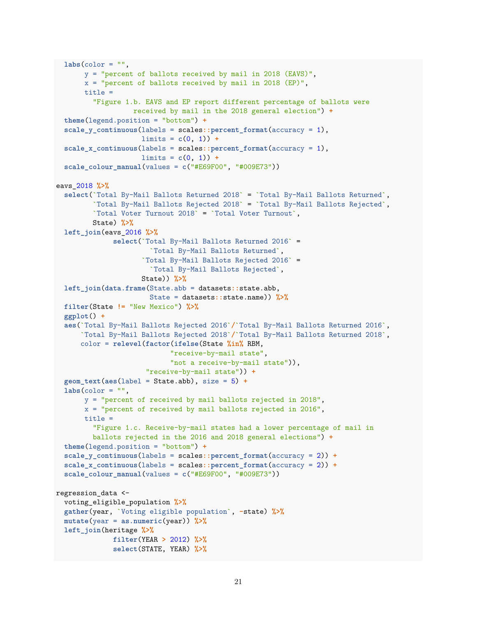```
\text{labs}(\text{color} = "",y = "percent of ballots received by mail in 2018 (EAVS)",
       x = "percent of ballots received by mail in 2018 (EP)",
       title =
         "Figure 1.b. EAVS and EP report different percentage of ballots were
                   received by mail in the 2018 general election") +
  theme(legend.position = "bottom") +
  scale_y_continuous(labels = scales::percent_format(accuracy = 1),
                     limits = c(0, 1)) +
  scale_x_continuous(labels = scales::percent_format(accuracy = 1),
                     limits = c(0, 1)) +
 scale_colour_manual(values = c("#E69F00", "#009E73"))
eavs_2018 %>%
  select(`Total By-Mail Ballots Returned 2018` = `Total By-Mail Ballots Returned`,
         `Total By-Mail Ballots Rejected 2018` = `Total By-Mail Ballots Rejected`,
         `Total Voter Turnout 2018` = `Total Voter Turnout`,
         State) %>%
 left_join(eavs_2016 %>%
              select(`Total By-Mail Ballots Returned 2016` =
                       `Total By-Mail Ballots Returned`,
                     `Total By-Mail Ballots Rejected 2016` =
                       `Total By-Mail Ballots Rejected`,
                     State)) %>%
 left_join(data.frame(State.abb = datasets::state.abb,
                       State = datasets::state.name)) %>%
  filter(State != "New Mexico") %>%
 ggplot() +
  aes(`Total By-Mail Ballots Rejected 2016`/`Total By-Mail Ballots Returned 2016`,
      `Total By-Mail Ballots Rejected 2018`/`Total By-Mail Ballots Returned 2018`,
      color = relevel(factor(ifelse(State %in% RBM,
                            "receive-by-mail state",
                            "not a receive-by-mail state")),
                      "receive-by-mail state")) +
  geom_text(aes(label = State.abb), size = 5) +
  \text{labs}(\text{color} = "",y = "percent of received by mail ballots rejected in 2018",
       x = "percent of received by mail ballots rejected in 2016",
       title =
         "Figure 1.c. Receive-by-mail states had a lower percentage of mail in
         ballots rejected in the 2016 and 2018 general elections") +
  theme(legend.position = "bottom") +
  scale_y_continuous(labels = scales::percent_format(accuracy = 2)) +
  scale_x_continuous(labels = scales::percent_format(accuracy = 2)) +
  scale_colour_manual(values = c("#E69F00", "#009E73"))
regression_data <-
 voting_eligible_population %>%
  gather(year, `Voting eligible population`, -state) %>%
 mutate(year = as.numeric(year)) %>%
 left_join(heritage %>%
              filter(YEAR > 2012) %>%
              select(STATE, YEAR) %>%
```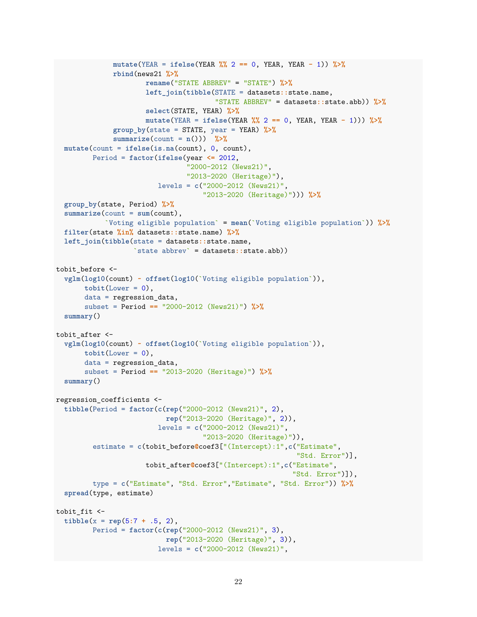```
mutate(YEAR = ifelse(YEAR %% 2 == 0, YEAR, YEAR - 1)) %>%
              rbind(news21 %>%
                      rename("STATE ABBREV" = "STATE") %>%
                      left_join(tibble(STATE = datasets::state.name,
                                        "STATE ABBREV" = datasets::state.abb)) %>%
                      select(STATE, YEAR) %>%
                      mutate(YEAR = ifelse(YEAR %% 2 == 0, YEAR, YEAR - 1))) %>%
              group_by(state = STATE, year = YEAR) %>%
              summarize(count = n()) %>%
  mutate(count = ifelse(is.na(count), 0, count),
         Period = factor(ifelse(year <= 2012,
                                 "2000-2012 (News21)",
                                 "2013-2020 (Heritage)"),
                         levels = c("2000-2012 (News21)",
                                     "2013-2020 (Heritage)"))) %>%
  group_by(state, Period) %>%
  summarize(count = sum(count),
            `Voting eligible population` = mean(`Voting eligible population`)) %>%
  filter(state %in% datasets::state.name) %>%
  left_join(tibble(state = datasets::state.name,
                   `state abbrev` = datasets::state.abb))
tobit before <-
  vglm(log10(count) ~ offset(log10(`Voting eligible population`)),
       \text{tobit}(\text{Lower} = 0),
       data = regression data,
       subset = Period == "2000-2012 (News21)") %>%
  summary()
tobit_after <-
  vglm(log10(count) ~ offset(log10(`Voting eligible population`)),
       tobit(Lower = 0),
       data = regression_data,
       subset = Period == "2013-2020 (Heritage)") %>%
  summary()
regression_coefficients <-
  tibble(Period = factor(c(rep("2000-2012 (News21)", 2),
                           rep("2013-2020 (Heritage)", 2)),
                         levels = c("2000-2012 (News21)",
                                     "2013-2020 (Heritage)")),
         estimate = c(tobit_before@coef3["(Intercept):1",c("Estimate",
                                                             "Std. Error")],
                      tobit_after@coef3["(Intercept):1",c("Estimate",
                                                            "Std. Error")]),
         type = c("Estimate", "Std. Error","Estimate", "Std. Error")) %>%
  spread(type, estimate)
tobit_fit <-
  \text{tible}(x = \text{rep}(5:7 + .5, 2),Period = factor(c(rep("2000-2012 (News21)", 3),
                           rep("2013-2020 (Heritage)", 3)),
                         levels = c("2000-2012 (News21)",
```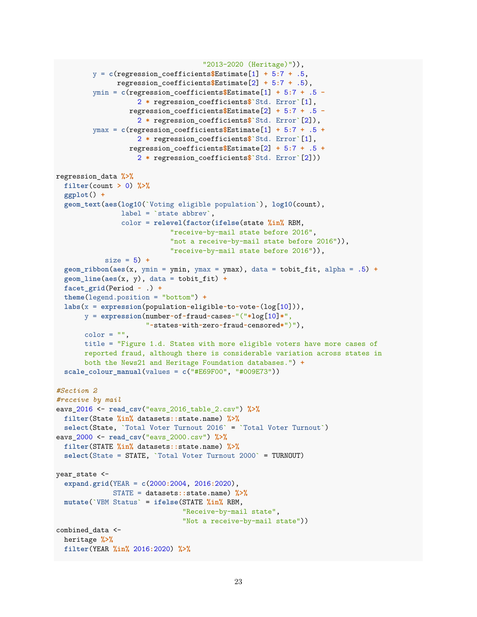```
"2013-2020 (Heritage)")),
         y = c(regression coefficients$Estimate[1] + 5:7 + .5,
               regression_coefficients$Estimate[2] + 5:7 + .5),
         ymin = c(regression_coefficients$Estimate[1] + 5:7 + .5 -
                    2 * regression_coefficients$`Std. Error`[1],
                  regression_coefficients$Estimate[2] + 5:7 + .5 -
                    2 * regression_coefficients$`Std. Error`[2]),
         ymax = c(regression coefficients$Estimate[1] + 5:7 + .5 +
                    2 * regression_coefficients$`Std. Error`[1],
                  regression_coefficients$Estimate[2] + 5:7 + .5 +
                    2 * regression_coefficients$`Std. Error`[2]))
regression_data %>%
  filter(count > 0) %>%
  ggplot() +
  geom_text(aes(log10(`Voting eligible population`), log10(count),
                label = `state abbrev`,
                color = relevel(factor(ifelse(state %in% RBM,
                            "receive-by-mail state before 2016",
                            "not a receive-by-mail state before 2016")),
                            "receive-by-mail state before 2016")),
            size = 5) +
  geom_ribbon(aes(x, ymin = ymin, ymax = ymax), data = tobit_fit, alpha = .5) +
  geom_line(aes(x, y), data = tobit_fit) +
  facet_grid(Period ~ .) +
  theme(legend.position = "bottom") +
  labs(x = expression(population~eligible~to~vote~(log[10])),
       y = expression(number~of~fraud~cases~"("*log[10]*",
                      "~states~with~zero~fraud~censored*")"),
       color = "title = "Figure 1.d. States with more eligible voters have more cases of
       reported fraud, although there is considerable variation across states in
       both the News21 and Heritage Foundation databases.") +
  scale_colour_manual(values = c("#E69F00", "#009E73"))
#Section 2
#receive by mail
eavs_2016 <- read_csv("eavs_2016_table_2.csv") %>%
 filter(State %in% datasets::state.name) %>%
  select(State, `Total Voter Turnout 2016` = `Total Voter Turnout`)
eavs_2000 <- read_csv("eavs_2000.csv") %>%
 filter(STATE %in% datasets::state.name) %>%
 select(State = STATE, `Total Voter Turnout 2000` = TURNOUT)
year state <-
  expand.grid(YEAR = c(2000:2004, 2016:2020),
              STATE = datasets::state.name) %>%
 mutate(`VBM Status` = ifelse(STATE %in% RBM,
                               "Receive-by-mail state",
                               "Not a receive-by-mail state"))
combined_data <-
 heritage %>%
 filter(YEAR %in% 2016:2020) %>%
```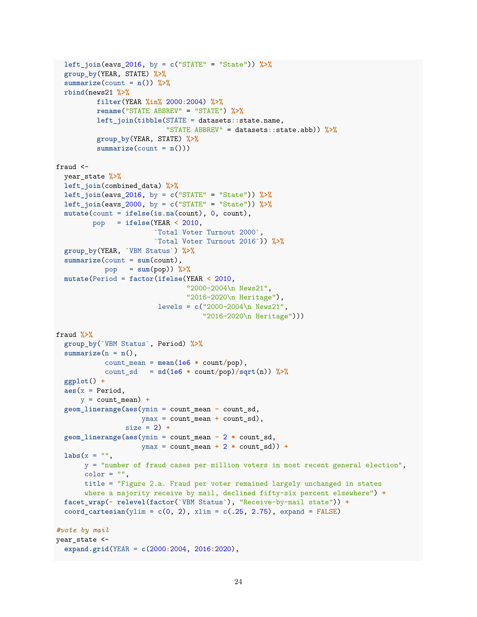```
left_join(eavs_2016, by = c("STATE" = "State")) %>%
  group_by(YEAR, STATE) %>%
  summarize(count = n()) %>%
 rbind(news21 %>%
         filter(YEAR %in% 2000:2004) %>%
          rename("STATE ABBREV" = "STATE") %>%
          left_join(tibble(STATE = datasets::state.name,
                           "STATE ABBREV" = datasets::state.abb)) %>%
          group_by(YEAR, STATE) %>%
          summarize(count = n())fraud <-
 year_state %>%
 left_join(combined_data) %>%
 left_join(eavs_2016, by = c("STATE" = "State")) %>%
 left_join(eavs_2000, by = c("STATE" = "State")) %>%
 mutate(count = ifelse(is.na(count), 0, count),
         pop = ifelse(YEAR < 2010,
                        `Total Voter Turnout 2000`,
                        `Total Voter Turnout 2016`)) %>%
  group_by(YEAR, `VBM Status`) %>%
  summarize(count = sum(count),
           pop = sum(pop)) %>%
 mutate(Period = factor(ifelse(YEAR < 2010,
                                "2000-2004\n News21",
                                "2016-2020\n Heritage"),
                         levels = c("2000-2004\n News21",
                                    "2016-2020\n Heritage")))
fraud %>%
  group_by(`VBM Status`, Period) %>%
  summarize(n = n(),
            count_mean = mean(1e6 * count/pop),
            count_s d = sd(1e6 * count/pop)/sqrt(n)) %>%
  ggplot() +
  \text{aes}(x = \text{Period},y = count mean) +geom_linerange(aes(ymin = count_mean - count_sd,
                     ymax = count_mean + count_sd),
                 size = 2) +
  geom_linerange(aes(ymin = count_mean - 2 * count_sd,
                     ymax = count_mean + 2 * count_sd)) +
 \text{labs}(x = 0.01)y = "number of fraud cases per million voters in most recent general election",
       color = "",title = "Figure 2.a. Fraud per voter remained largely unchanged in states
       where a majority receive by mail, declined fifty-six percent elsewhere") +
  facet_wrap(~ relevel(factor(`VBM Status`), "Receive-by-mail state")) +
  coord_cartesian(ylim = c(0, 2), xlim = c(.25, 2.75), expand = FALSE)#vote by mail
year_state <-
  expand.grid(YEAR = c(2000:2004, 2016:2020),
```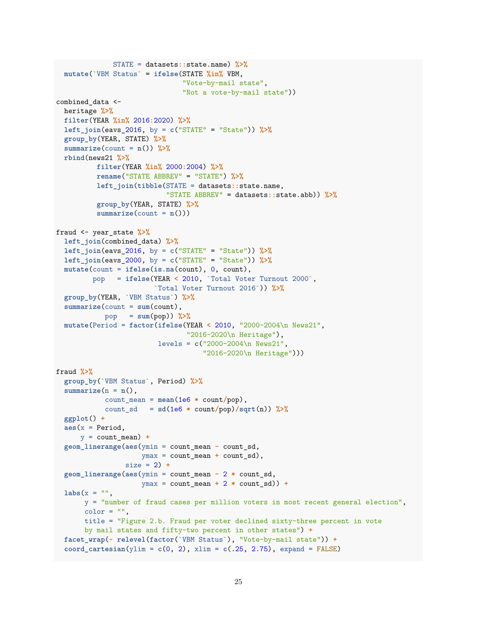```
STATE = datasets::state.name) %>%
  mutate(`VBM Status` = ifelse(STATE %in% VBM,
                               "Vote-by-mail state",
                               "Not a vote-by-mail state"))
combined_data <-
 heritage %>%
 filter(YEAR %in% 2016:2020) %>%
 left_join(eavs_2016, by = c("STATE" = "State")) %>%
  group_by(YEAR, STATE) %>%
  summarize(count = n()) %>%
 rbind(news21 %>%
         filter(YEAR %in% 2000:2004) %>%
         rename("STATE ABBREV" = "STATE") %>%
          left_join(tibble(STATE = datasets::state.name,
                           "STATE ABBREV" = datasets::state.abb)) %>%
          group_by(YEAR, STATE) %>%
          summarize(count = n()))
fraud <- year_state %>%
 left_join(combined_data) %>%
 left_join(eavs_2016, by = c("STATE" = "State")) %>%
 left_join(eavs_2000, by = c("STATE" = "State")) %>%
 mutate(count = ifelse(is.na(count), 0, count),
         pop = ifelse(YEAR < 2010, `Total Voter Turnout 2000`,
                        `Total Voter Turnout 2016`)) %>%
  group_by(YEAR, `VBM Status`) %>%
  summarize(count = sum(count),
            pop = sum(pop)) %>%
 mutate(Period = factor(ifelse(YEAR < 2010, "2000-2004\n News21",
                                "2016-2020\n Heritage"),
                         levels = c("2000-2004\n News21",
                                    "2016-2020\n Heritage")))
fraud %>%
  group_by(`VBM Status`, Period) %>%
  summarize(n = n(),
            count_mean = mean(1e6 * count/pop),count sd = sd(1e6 * count/pop)/sqrt(n)) %>%
  ggplot() +
  \text{aes}(x = \text{Period},y = count_mean +
  geom_linerange(aes(ymin = count_mean - count_sd,
                     ymax = count mean + count sd),
                 size = 2) +
  geom_linerange(aes(ymin = count_mean - 2 * count_sd,
                     ymax = count_mean + 2 * count_sd)) +
  \texttt{labels}(x = "",y = "number of fraud cases per million voters in most recent general election",
       color = "",title = "Figure 2.b. Fraud per voter declined sixty-three percent in vote
       by mail states and fifty-two percent in other states") +
  facet_wrap(~ relevel(factor(`VBM Status`), "Vote-by-mail state")) +
  coord_cartesian(ylim = c(0, 2), xlim = c(.25, 2.75), expand = FALSE)
```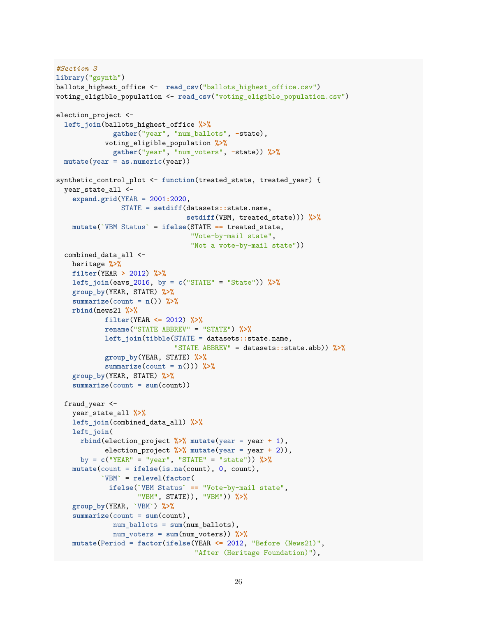```
#Section 3
library("gsynth")
ballots highest office <- read csv("ballots highest office.csv")
voting eligible population <- read csv("voting eligible population.csv")
election project <-
 left_join(ballots_highest_office %>%
              gather("year", "num_ballots", -state),
            voting_eligible_population %>%
              gather("year", "num_voters", -state)) %>%
  mutate(year = as.numeric(year))
synthetic_control_plot <- function(treated_state, treated_year) {
  year_state_all <-
    expand.grid(YEAR = 2001:2020,
                STATE = setdiff(datasets::state.name,
                                setdiff(VBM, treated_state))) %>%
   mutate(`VBM Status` = ifelse(STATE == treated_state,
                                 "Vote-by-mail state",
                                 "Not a vote-by-mail state"))
  combined data all <-
   heritage %>%
   filter(YEAR > 2012) %>%
   left_join(eavs_2016, by = c("STATE" = "State")) %>%
   group_by(YEAR, STATE) %>%
   summarize(count = n()) %>%
   rbind(news21 %>%
            filter(YEAR <= 2012) %>%
            rename("STATE ABBREV" = "STATE") %>%
            left_join(tibble(STATE = datasets::state.name,
                             "STATE ABBREV" = datasets::state.abb)) %>%
            group_by(YEAR, STATE) %>%
            summarize(count = n())) %>%
    group_by(YEAR, STATE) %>%
   summarize(count = sum(count))
  fraud year \leftarrowyear_state_all %>%
   left_join(combined_data_all) %>%
   left_join(
      rbind(election_project %>% mutate(year = year + 1),
            election_project %>% mutate(year = year + 2)),
     by = c("YEAR" = "year", "STATE" = "state")) %>%
   mutate(count = ifelse(is.na(count), 0, count),
           `VBM` = relevel(factor(
             ifelse(`VBM Status` == "Vote-by-mail state",
                    "VBM", STATE)), "VBM")) %>%
    group_by(YEAR, `VBM`) %>%
    summarize(count = sum(count),
              num ballots = sum(num ballots),
              num_voters = sum(num_voters)) %>%
   mutate(Period = factor(ifelse(YEAR <= 2012, "Before (News21)",
                                  "After (Heritage Foundation)"),
```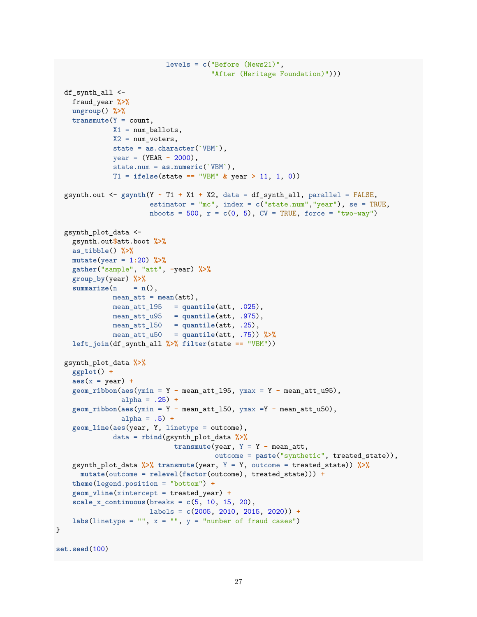```
levels = c("Before (News21)",
                                      "After (Heritage Foundation)")))
  df synth all \leftarrowfraud_year %>%
    ungroup() %>%
    transmute(Y = count,
              X1 = num ballots,
              X2 = num_voters,state = as.character(`VBM`),
              year = (YEAR - 2000),
              state.num = as.numeric(`VBM`),
              T1 = ifelse(state == "VBM" & year > 11, 1, 0))
  gsynth.out <- gsynth(Y ~ T1 + X1 + X2, data = df_synth_all, parallel = FALSE,
                       estimator = "mc", index = c("state.num","year"), se = TRUE,
                       nboots = 500, r = c(0, 5), CV = TRUE, force = "two-way")
  gsynth_plot_data <-
    gsynth.out$att.boot %>%
    as_tibble() %>%
    mutate(year = 1:20) %>%
    gather("sample", "att", -year) %>%
    group_by(year) %>%
    summarize(n = n(),mean att = mean(att),
              mean att 195 = quantile(att, .025),
              mean_att_u95 = quantile(att, .975),
              mean_att_l50 = quantile(att, .25),
              mean_att_u50 = quantile(att, .75)) %>%
    left_join(df_synth_all %>% filter(state == "VBM"))
  gsynth_plot_data %>%
    ggplot() +
    \text{aes}(x = \text{year}) +geom_ribbon(aes(ymin = Y - mean_att_l95, ymax = Y - mean_att_u95),
                alpha = .25) +
    geom_ribbon(aes(ymin = Y - mean_att_l50, ymax =Y - mean_att_u50),
                alpha = .5) +
    geom_line(aes(year, Y, linetype = outcome),
              data = rbind(gsynth_plot_data %>%
                             transmute(year, Y = Y - mean_att,outcome = paste("synthetic", treated_state)),
    gsynth_plot_data %>% transmute(year, Y = Y, outcome = treated_state)) %>%
      mutate(outcome = relevel(factor(outcome), treated_state))) +
    theme(legend.position = "bottom") +
    geom_vline(xintercept = treated_year) +
    scale_x_continuous(breaks = c(5, 10, 15, 20),
                       labels = c(2005, 2010, 2015, 2020)) +
    labs(linetype = ", x = ", y = "number of fraud cases")
}
```

```
set.seed(100)
```